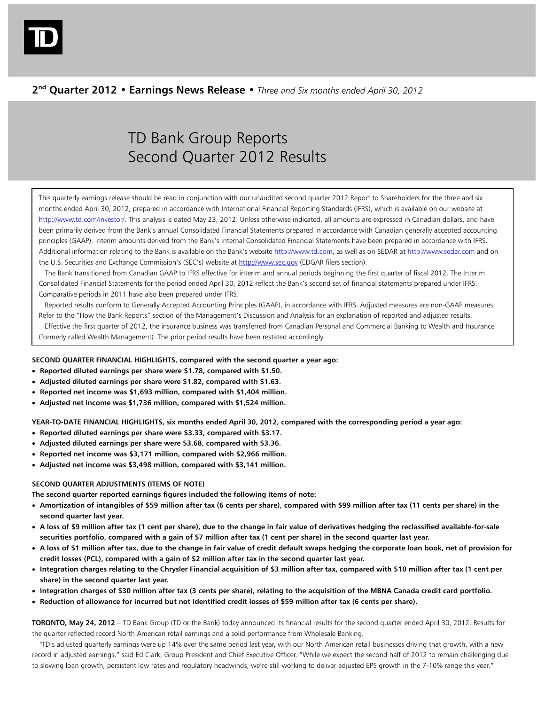# **2nd Quarter 2012 • Earnings News Release •** *Three and Six months ended April 30, 2012*

# TD Bank Group Reports Second Quarter 2012 Results

This quarterly earnings release should be read in conjunction with our unaudited second quarter 2012 Report to Shareholders for the three and six months ended April 30, 2012, prepared in accordance with International Financial Reporting Standards (IFRS), which is available on our website at http://www.td.com/investor/. This analysis is dated May 23, 2012. Unless otherwise indicated, all amounts are expressed in Canadian dollars, and have been primarily derived from the Bank's annual Consolidated Financial Statements prepared in accordance with Canadian generally accepted accounting principles (GAAP). Interim amounts derived from the Bank's internal Consolidated Financial Statements have been prepared in accordance with IFRS. Additional information relating to the Bank is available on the Bank's website http://www.td.com, as well as on SEDAR at http://www.sedar.com and on the U.S. Securities and Exchange Commission's (SEC's) website at http://www.sec.gov (EDGAR filers section).

 The Bank transitioned from Canadian GAAP to IFRS effective for interim and annual periods beginning the first quarter of fiscal 2012. The Interim Consolidated Financial Statements for the period ended April 30, 2012 reflect the Bank's second set of financial statements prepared under IFRS. Comparative periods in 2011 have also been prepared under IFRS.

 Reported results conform to Generally Accepted Accounting Principles (GAAP), in accordance with IFRS. Adjusted measures are non-GAAP measures. Refer to the "How the Bank Reports" section of the Management's Discussion and Analysis for an explanation of reported and adjusted results.

 Effective the first quarter of 2012, the insurance business was transferred from Canadian Personal and Commercial Banking to Wealth and Insurance (formerly called Wealth Management). The prior period results have been restated accordingly.

# **SECOND QUARTER FINANCIAL HIGHLIGHTS, compared with the second quarter a year ago:**

- **Reported diluted earnings per share were \$1.78, compared with \$1.50.**
- **Adjusted diluted earnings per share were \$1.82, compared with \$1.63.**
- **Reported net income was \$1,693 million, compared with \$1,404 million.**
- **Adjusted net income was \$1,736 million, compared with \$1,524 million.**

**YEAR-TO-DATE FINANCIAL HIGHLIGHTS, six months ended April 30, 2012, compared with the corresponding period a year ago:** 

- **Reported diluted earnings per share were \$3.33, compared with \$3.17.**
- **Adjusted diluted earnings per share were \$3.68, compared with \$3.36.**
- **Reported net income was \$3,171 million, compared with \$2,966 million.**
- **Adjusted net income was \$3,498 million, compared with \$3,141 million.**

# **SECOND QUARTER ADJUSTMENTS (ITEMS OF NOTE)**

**The second quarter reported earnings figures included the following items of note:** 

- **Amortization of intangibles of \$59 million after tax (6 cents per share), compared with \$99 million after tax (11 cents per share) in the second quarter last year.**
- **A loss of \$9 million after tax (1 cent per share), due to the change in fair value of derivatives hedging the reclassified available-for-sale securities portfolio, compared with a gain of \$7 million after tax (1 cent per share) in the second quarter last year.**
- **A loss of \$1 million after tax, due to the change in fair value of credit default swaps hedging the corporate loan book, net of provision for credit losses (PCL), compared with a gain of \$2 million after tax in the second quarter last year.**
- **Integration charges relating to the Chrysler Financial acquisition of \$3 million after tax, compared with \$10 million after tax (1 cent per share) in the second quarter last year.**
- **Integration charges of \$30 million after tax (3 cents per share), relating to the acquisition of the MBNA Canada credit card portfolio.**
- **Reduction of allowance for incurred but not identified credit losses of \$59 million after tax (6 cents per share).**

**TORONTO, May 24, 2012** – TD Bank Group (TD or the Bank) today announced its financial results for the second quarter ended April 30, 2012. Results for the quarter reflected record North American retail earnings and a solid performance from Wholesale Banking.

 "TD's adjusted quarterly earnings were up 14% over the same period last year, with our North American retail businesses driving that growth, with a new record in adjusted earnings," said Ed Clark, Group President and Chief Executive Officer. "While we expect the second half of 2012 to remain challenging due to slowing loan growth, persistent low rates and regulatory headwinds, we're still working to deliver adjusted EPS growth in the 7-10% range this year."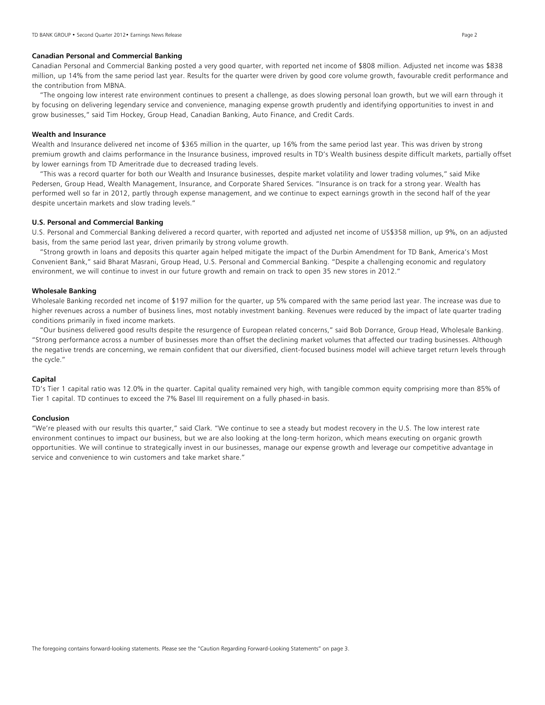#### **Canadian Personal and Commercial Banking**

Canadian Personal and Commercial Banking posted a very good quarter, with reported net income of \$808 million. Adjusted net income was \$838 million, up 14% from the same period last year. Results for the quarter were driven by good core volume growth, favourable credit performance and the contribution from MBNA.

 "The ongoing low interest rate environment continues to present a challenge, as does slowing personal loan growth, but we will earn through it by focusing on delivering legendary service and convenience, managing expense growth prudently and identifying opportunities to invest in and grow businesses," said Tim Hockey, Group Head, Canadian Banking, Auto Finance, and Credit Cards.

#### **Wealth and Insurance**

Wealth and Insurance delivered net income of \$365 million in the quarter, up 16% from the same period last year. This was driven by strong premium growth and claims performance in the Insurance business, improved results in TD's Wealth business despite difficult markets, partially offset by lower earnings from TD Ameritrade due to decreased trading levels.

"This was a record quarter for both our Wealth and Insurance businesses, despite market volatility and lower trading volumes," said Mike Pedersen, Group Head, Wealth Management, Insurance, and Corporate Shared Services. "Insurance is on track for a strong year. Wealth has performed well so far in 2012, partly through expense management, and we continue to expect earnings growth in the second half of the year despite uncertain markets and slow trading levels."

#### **U.S. Personal and Commercial Banking**

U.S. Personal and Commercial Banking delivered a record quarter, with reported and adjusted net income of US\$358 million, up 9%, on an adjusted basis, from the same period last year, driven primarily by strong volume growth.

 "Strong growth in loans and deposits this quarter again helped mitigate the impact of the Durbin Amendment for TD Bank, America's Most Convenient Bank," said Bharat Masrani, Group Head, U.S. Personal and Commercial Banking. "Despite a challenging economic and regulatory environment, we will continue to invest in our future growth and remain on track to open 35 new stores in 2012."

#### **Wholesale Banking**

Wholesale Banking recorded net income of \$197 million for the quarter, up 5% compared with the same period last year. The increase was due to higher revenues across a number of business lines, most notably investment banking. Revenues were reduced by the impact of late quarter trading conditions primarily in fixed income markets.

 "Our business delivered good results despite the resurgence of European related concerns," said Bob Dorrance, Group Head, Wholesale Banking. "Strong performance across a number of businesses more than offset the declining market volumes that affected our trading businesses. Although the negative trends are concerning, we remain confident that our diversified, client-focused business model will achieve target return levels through the cycle."

#### **Capital**

TD's Tier 1 capital ratio was 12.0% in the quarter. Capital quality remained very high, with tangible common equity comprising more than 85% of Tier 1 capital. TD continues to exceed the 7% Basel III requirement on a fully phased-in basis.

#### **Conclusion**

"We're pleased with our results this quarter," said Clark. "We continue to see a steady but modest recovery in the U.S. The low interest rate environment continues to impact our business, but we are also looking at the long-term horizon, which means executing on organic growth opportunities. We will continue to strategically invest in our businesses, manage our expense growth and leverage our competitive advantage in service and convenience to win customers and take market share."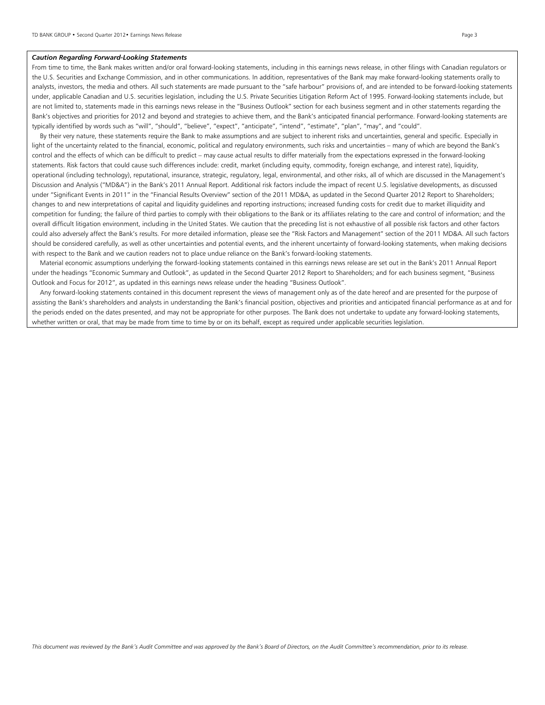#### *Caution Regarding Forward-Looking Statements*

From time to time, the Bank makes written and/or oral forward-looking statements, including in this earnings news release, in other filings with Canadian regulators or the U.S. Securities and Exchange Commission, and in other communications. In addition, representatives of the Bank may make forward-looking statements orally to analysts, investors, the media and others. All such statements are made pursuant to the "safe harbour" provisions of, and are intended to be forward-looking statements under, applicable Canadian and U.S. securities legislation, including the U.S. Private Securities Litigation Reform Act of 1995. Forward-looking statements include, but are not limited to, statements made in this earnings news release in the "Business Outlook" section for each business segment and in other statements regarding the Bank's objectives and priorities for 2012 and beyond and strategies to achieve them, and the Bank's anticipated financial performance. Forward-looking statements are typically identified by words such as "will", "should", "believe", "expect", "anticipate", "intend", "estimate", "plan", "may", and "could".

 By their very nature, these statements require the Bank to make assumptions and are subject to inherent risks and uncertainties, general and specific. Especially in light of the uncertainty related to the financial, economic, political and regulatory environments, such risks and uncertainties – many of which are beyond the Bank's control and the effects of which can be difficult to predict – may cause actual results to differ materially from the expectations expressed in the forward-looking statements. Risk factors that could cause such differences include: credit, market (including equity, commodity, foreign exchange, and interest rate), liquidity, operational (including technology), reputational, insurance, strategic, regulatory, legal, environmental, and other risks, all of which are discussed in the Management's Discussion and Analysis ("MD&A") in the Bank's 2011 Annual Report. Additional risk factors include the impact of recent U.S. legislative developments, as discussed under "Significant Events in 2011" in the "Financial Results Overview" section of the 2011 MD&A, as updated in the Second Quarter 2012 Report to Shareholders; changes to and new interpretations of capital and liquidity guidelines and reporting instructions; increased funding costs for credit due to market illiquidity and competition for funding; the failure of third parties to comply with their obligations to the Bank or its affiliates relating to the care and control of information; and the overall difficult litigation environment, including in the United States. We caution that the preceding list is not exhaustive of all possible risk factors and other factors could also adversely affect the Bank's results. For more detailed information, please see the "Risk Factors and Management" section of the 2011 MD&A. All such factors should be considered carefully, as well as other uncertainties and potential events, and the inherent uncertainty of forward-looking statements, when making decisions with respect to the Bank and we caution readers not to place undue reliance on the Bank's forward-looking statements.

 Material economic assumptions underlying the forward-looking statements contained in this earnings news release are set out in the Bank's 2011 Annual Report under the headings "Economic Summary and Outlook", as updated in the Second Quarter 2012 Report to Shareholders; and for each business segment, "Business Outlook and Focus for 2012", as updated in this earnings news release under the heading "Business Outlook".

 Any forward-looking statements contained in this document represent the views of management only as of the date hereof and are presented for the purpose of assisting the Bank's shareholders and analysts in understanding the Bank's financial position, objectives and priorities and anticipated financial performance as at and for the periods ended on the dates presented, and may not be appropriate for other purposes. The Bank does not undertake to update any forward-looking statements, whether written or oral, that may be made from time to time by or on its behalf, except as required under applicable securities legislation.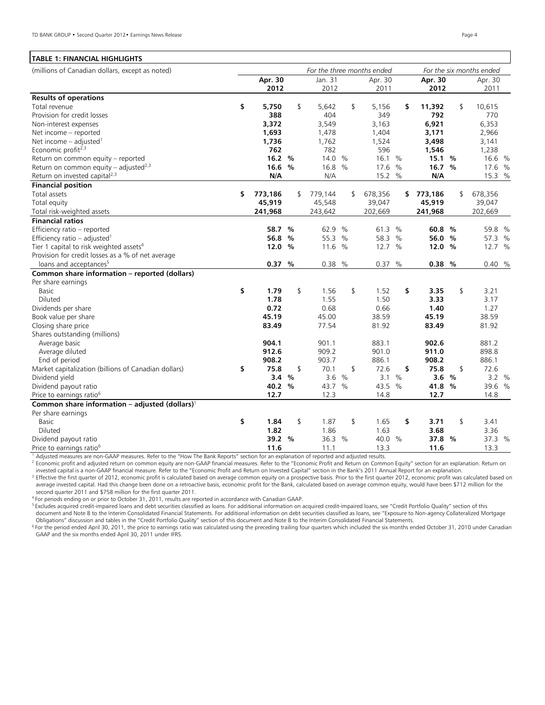r

| <b>TABLE 1: FINANCIAL HIGHLIGHTS</b>                       |                 |      |         |      |                            |      |                 |                          |  |
|------------------------------------------------------------|-----------------|------|---------|------|----------------------------|------|-----------------|--------------------------|--|
| (millions of Canadian dollars, except as noted)            |                 |      |         |      | For the three months ended |      |                 | For the six months ended |  |
|                                                            | Apr. 30         |      | Jan. 31 |      | Apr. 30                    |      | Apr. 30         | Apr. 30                  |  |
|                                                            | 2012            |      | 2012    |      | 2011                       |      | 2012            | 2011                     |  |
| <b>Results of operations</b>                               |                 |      |         |      |                            |      |                 |                          |  |
| Total revenue                                              | \$<br>5,750     | \$   | 5,642   | \$   | 5,156                      | \$   | 11,392          | \$<br>10,615             |  |
| Provision for credit losses                                | 388             |      | 404     |      | 349                        |      | 792             | 770                      |  |
| Non-interest expenses                                      | 3,372           |      | 3,549   |      | 3,163                      |      | 6,921           | 6,353                    |  |
| Net income - reported                                      | 1,693           |      | 1,478   |      | 1,404                      |      | 3,171           | 2,966                    |  |
| Net income $-$ adjusted <sup>1</sup>                       | 1,736           |      | 1,762   |      | 1,524                      |      | 3,498           | 3,141                    |  |
| Economic profit <sup>2,3</sup>                             | 762             |      | 782     |      | 596                        |      | 1,546           | 1,238                    |  |
| Return on common equity - reported                         | 16.2 %          |      | 14.0 %  |      | 16.1 %                     |      | 15.1 %          | 16.6 %                   |  |
| Return on common equity – adjusted <sup>2,3</sup>          | 16.6            | $\%$ | 16.8 %  |      | 17.6                       | $\%$ | 16.7 %          | 17.6 %                   |  |
| Return on invested capital <sup>2,3</sup>                  | N/A             |      | N/A     |      | 15.2 %                     |      | N/A             | 15.3 %                   |  |
| <b>Financial position</b>                                  |                 |      |         |      |                            |      |                 |                          |  |
| Total assets                                               | \$<br>773,186   | \$   | 779,144 | \$   | 678,356                    |      | \$773,186       | \$<br>678,356            |  |
| Total equity                                               | 45,919          |      | 45,548  |      | 39,047                     |      | 45,919          | 39,047                   |  |
| Total risk-weighted assets                                 | 241,968         |      | 243,642 |      | 202,669                    |      | 241,968         | 202,669                  |  |
| <b>Financial ratios</b>                                    |                 |      |         |      |                            |      |                 |                          |  |
| Efficiency ratio - reported                                | 58.7            | $\%$ | 62.9    | $\%$ | 61.3                       | $\%$ | 60.8%           | 59.8 %                   |  |
| Efficiency ratio – adjusted <sup>1</sup>                   | 56.8            | $\%$ | 55.3    | $\%$ | 58.3                       | $\%$ | 56.0 %          | 57.3 %                   |  |
| Tier 1 capital to risk weighted assets <sup>4</sup>        | 12.0            | $\%$ | 11.6 %  |      | 12.7 %                     |      | 12.0 %          | 12.7 %                   |  |
| Provision for credit losses as a % of net average          |                 |      |         |      |                            |      |                 |                          |  |
| loans and acceptances <sup>5</sup>                         | 0.37 %          |      | 0.38%   |      | 0.37 %                     |      | 0.38 %          | 0.40%                    |  |
| Common share information - reported (dollars)              |                 |      |         |      |                            |      |                 |                          |  |
| Per share earnings                                         |                 |      |         |      |                            |      |                 |                          |  |
| Basic                                                      | \$<br>1.79      | \$   | 1.56    | \$   | 1.52                       | \$   | 3.35            | \$<br>3.21               |  |
| Diluted                                                    | 1.78            |      | 1.55    |      | 1.50                       |      | 3.33            | 3.17                     |  |
| Dividends per share                                        | 0.72            |      | 0.68    |      | 0.66                       |      | 1.40            | 1.27                     |  |
| Book value per share                                       | 45.19           |      | 45.00   |      | 38.59                      |      | 45.19           | 38.59                    |  |
| Closing share price                                        | 83.49           |      | 77.54   |      | 81.92                      |      | 83.49           | 81.92                    |  |
| Shares outstanding (millions)                              |                 |      |         |      |                            |      |                 |                          |  |
| Average basic                                              | 904.1           |      | 901.1   |      | 883.1                      |      | 902.6           | 881.2                    |  |
| Average diluted                                            | 912.6           |      | 909.2   |      | 901.0                      |      | 911.0           | 898.8                    |  |
| End of period                                              | 908.2           |      | 903.7   |      | 886.1                      |      | 908.2           | 886.1                    |  |
| Market capitalization (billions of Canadian dollars)       | \$<br>75.8      | \$   | 70.1    | \$   | 72.6                       | \$   | 75.8            | \$<br>72.6               |  |
| Dividend yield                                             | 3.4%            |      | 3.6%    |      | 3.1                        | $\%$ | 3.6%            | 3.2%                     |  |
| Dividend payout ratio                                      | 40.2            | $\%$ | 43.7 %  |      | 43.5 %                     |      | 41.8 %          | 39.6 %                   |  |
| Price to earnings ratio <sup>6</sup>                       | 12.7            |      | 12.3    |      | 14.8                       |      | 12.7            | 14.8                     |  |
| Common share information – adjusted (dollars) <sup>1</sup> |                 |      |         |      |                            |      |                 |                          |  |
| Per share earnings                                         |                 |      |         |      |                            |      |                 |                          |  |
| Basic                                                      | \$<br>1.84      | \$   | 1.87    | \$   | 1.65                       | \$   | 3.71            | \$<br>3.41               |  |
| Diluted                                                    | 1.82            |      | 1.86    |      | 1.63                       |      | 3.68            | 3.36                     |  |
| Dividend payout ratio                                      | 39.2 %          |      | 36.3 %  |      | 40.0 %                     |      | 37.8 %          | 37.3 %                   |  |
| Drico to openinge ratio <sup>6</sup>                       | 11 <sub>6</sub> |      | 111     |      | 122                        |      | 11 <sub>6</sub> | 122                      |  |

 $\overline{\phantom{a}}$ 

 $\overline{\phantom{a}}$ 

 $\overline{\phantom{a}}$ 

Price to earnings ratio<sup>6</sup> 13.3<br><sup>1</sup> Adjusted measures are non-GAAP measures. Refer to the "How The Bank Reports" section for an explanation of reported and adjusted results.<br><sup>2</sup> Economic profit and adjusted return on comm invested capital is a non-GAAP financial measure. Refer to the "Economic Profit and Return on Invested Capital" section in the Bank's 2011 Annual Report for an explanation.<br><sup>3</sup> Effective the first quarter of 2012, economic

average invested capital. Had this change been done on a retroactive basis, economic profit for the Bank, calculated based on average common equity, would have been \$712 million for the second quarter 2011 and \$758 million for the first quarter 2011.

<sup>4</sup> For periods ending on or prior to October 31, 2011, results are reported in accordance with Canadian GAAP.<br><sup>5</sup> Excludes acquired credit-impaired loans and debt securities classified as loans. For additional information

document and Note 8 to the Interim Consolidated Financial Statements. For additional information on debt securities classified as loans, see "Exposure to Non-agency Collateralized Mortgage<br>Obligations" discussion and table

<sup>6</sup> For the period ended April 30, 2011, the price to earnings ratio was calculated using the preceding trailing four quarters which included the six months ended October 31, 2010 under Canadian GAAP and the six months ended April 30, 2011 under IFRS.

 $\overline{\phantom{a}}$ 

 $\overline{\phantom{a}}$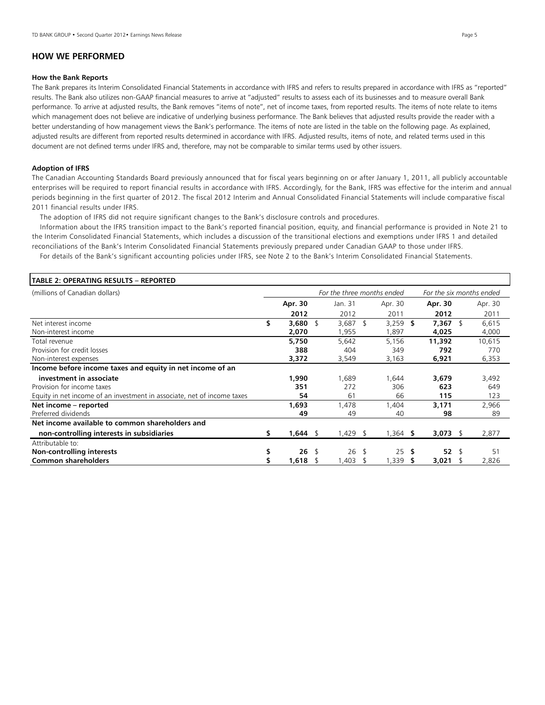# **HOW WE PERFORMED**

# **How the Bank Reports**

The Bank prepares its Interim Consolidated Financial Statements in accordance with IFRS and refers to results prepared in accordance with IFRS as "reported" results. The Bank also utilizes non-GAAP financial measures to arrive at "adjusted" results to assess each of its businesses and to measure overall Bank performance. To arrive at adjusted results, the Bank removes "items of note", net of income taxes, from reported results. The items of note relate to items which management does not believe are indicative of underlying business performance. The Bank believes that adjusted results provide the reader with a better understanding of how management views the Bank's performance. The items of note are listed in the table on the following page. As explained, adjusted results are different from reported results determined in accordance with IFRS. Adjusted results, items of note, and related terms used in this document are not defined terms under IFRS and, therefore, may not be comparable to similar terms used by other issuers.

#### **Adoption of IFRS**

The Canadian Accounting Standards Board previously announced that for fiscal years beginning on or after January 1, 2011, all publicly accountable enterprises will be required to report financial results in accordance with IFRS. Accordingly, for the Bank, IFRS was effective for the interim and annual periods beginning in the first quarter of 2012. The fiscal 2012 Interim and Annual Consolidated Financial Statements will include comparative fiscal 2011 financial results under IFRS.

The adoption of IFRS did not require significant changes to the Bank's disclosure controls and procedures.

 Information about the IFRS transition impact to the Bank's reported financial position, equity, and financial performance is provided in Note 21 to the Interim Consolidated Financial Statements, which includes a discussion of the transitional elections and exemptions under IFRS 1 and detailed reconciliations of the Bank's Interim Consolidated Financial Statements previously prepared under Canadian GAAP to those under IFRS.

For details of the Bank's significant accounting policies under IFRS, see Note 2 to the Bank's Interim Consolidated Financial Statements.

| <b>TABLE 2: OPERATING RESULTS - REPORTED</b>                            |             |                            |             |    |                          |               |         |
|-------------------------------------------------------------------------|-------------|----------------------------|-------------|----|--------------------------|---------------|---------|
| (millions of Canadian dollars)                                          |             | For the three months ended |             |    | For the six months ended |               |         |
|                                                                         | Apr. 30     | Jan. 31                    | Apr. 30     |    | Apr. 30                  |               | Apr. 30 |
|                                                                         | 2012        | 2012                       | 2011        |    | 2012                     |               | 2011    |
| Net interest income                                                     | \$<br>3,680 | \$<br>3,687                | \$<br>3,259 | -S | 7,367                    | \$            | 6,615   |
| Non-interest income                                                     | 2,070       | 1,955                      | 1,897       |    | 4,025                    |               | 4,000   |
| Total revenue                                                           | 5,750       | 5,642                      | 5,156       |    | 11,392                   |               | 10,615  |
| Provision for credit losses                                             | 388         | 404                        | 349         |    | 792                      |               | 770     |
| Non-interest expenses                                                   | 3,372       | 3,549                      | 3,163       |    | 6,921                    |               | 6,353   |
| Income before income taxes and equity in net income of an               |             |                            |             |    |                          |               |         |
| investment in associate                                                 | 1,990       | 1,689                      | 1,644       |    | 3,679                    |               | 3,492   |
| Provision for income taxes                                              | 351         | 272                        | 306         |    | 623                      |               | 649     |
| Equity in net income of an investment in associate, net of income taxes | 54          | 61                         | 66          |    | 115                      |               | 123     |
| Net income - reported                                                   | 1,693       | 1.478                      | 1.404       |    | 3,171                    |               | 2,966   |
| Preferred dividends                                                     | 49          | 49                         | 40          |    | 98                       |               | 89      |
| Net income available to common shareholders and                         |             |                            |             |    |                          |               |         |
| non-controlling interests in subsidiaries                               | 1,644 \$    | $1,429$ \$                 | $1,364$ \$  |    | 3,073 \$                 |               | 2,877   |
| Attributable to:                                                        |             |                            |             |    |                          |               |         |
| Non-controlling interests                                               | 26          | \$<br>26                   | 25          | S  | 52                       | $\mathcal{L}$ | 51      |
| <b>Common shareholders</b>                                              | 1,618       | 1,403                      | 1,339       |    | 3,021                    |               | 2,826   |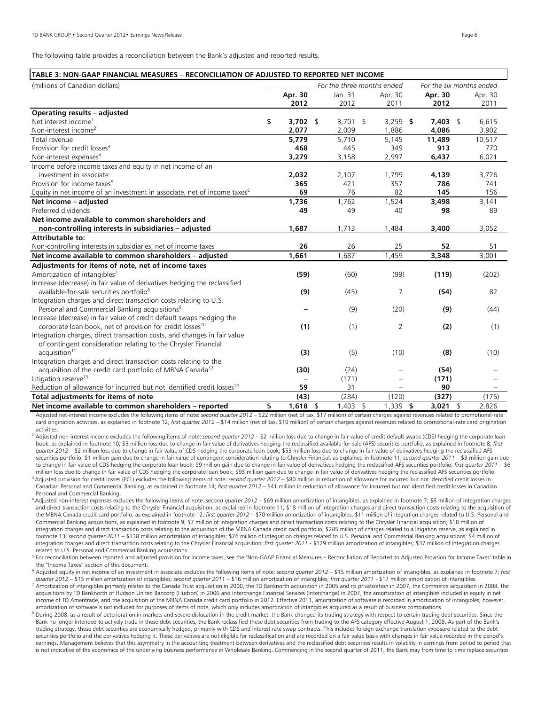The following table provides a reconciliation between the Bank's adjusted and reported results.

| TABLE 3: NON-GAAP FINANCIAL MEASURES - RECONCILIATION OF ADJUSTED TO REPORTED NET INCOME                                                                                                                                                                                                                                                                                                                                   |                  |                            |                  |                          |         |
|----------------------------------------------------------------------------------------------------------------------------------------------------------------------------------------------------------------------------------------------------------------------------------------------------------------------------------------------------------------------------------------------------------------------------|------------------|----------------------------|------------------|--------------------------|---------|
| (millions of Canadian dollars)                                                                                                                                                                                                                                                                                                                                                                                             |                  | For the three months ended |                  | For the six months ended |         |
|                                                                                                                                                                                                                                                                                                                                                                                                                            | Apr. 30          | Jan. 31                    | Apr. 30          | Apr. 30                  | Apr. 30 |
|                                                                                                                                                                                                                                                                                                                                                                                                                            | 2012             | 2012                       | 2011             | 2012                     | 2011    |
| Operating results - adjusted                                                                                                                                                                                                                                                                                                                                                                                               |                  |                            |                  |                          |         |
| Net interest income <sup>1</sup>                                                                                                                                                                                                                                                                                                                                                                                           | \$<br>3.702 \$   | $3,701$ \$                 | 3,259 \$         | $7.403$ \$               | 6,615   |
| Non-interest income <sup>2</sup>                                                                                                                                                                                                                                                                                                                                                                                           | 2,077            | 2,009                      | 1,886            | 4,086                    | 3,902   |
| Total revenue                                                                                                                                                                                                                                                                                                                                                                                                              | 5,779            | 5.710                      | 5,145            | 11,489                   | 10,517  |
| Provision for credit losses <sup>3</sup>                                                                                                                                                                                                                                                                                                                                                                                   | 468              | 445                        | 349              | 913                      | 770     |
| Non-interest expenses <sup>4</sup>                                                                                                                                                                                                                                                                                                                                                                                         | 3,279            | 3,158                      | 2,997            | 6,437                    | 6,021   |
| Income before income taxes and equity in net income of an                                                                                                                                                                                                                                                                                                                                                                  |                  |                            |                  |                          |         |
| investment in associate                                                                                                                                                                                                                                                                                                                                                                                                    | 2,032            | 2,107                      | 1,799            | 4,139                    | 3,726   |
| Provision for income taxes <sup>5</sup>                                                                                                                                                                                                                                                                                                                                                                                    | 365              | 421                        | 357              | 786                      | 741     |
| Equity in net income of an investment in associate, net of income taxes <sup>6</sup>                                                                                                                                                                                                                                                                                                                                       | 69               | 76                         | 82               | 145                      | 156     |
| Net income - adjusted                                                                                                                                                                                                                                                                                                                                                                                                      | 1,736            | 1,762                      | 1,524            | 3,498                    | 3,141   |
| Preferred dividends                                                                                                                                                                                                                                                                                                                                                                                                        | 49               | 49                         | 40               | 98                       | 89      |
| Net income available to common shareholders and                                                                                                                                                                                                                                                                                                                                                                            |                  |                            |                  |                          |         |
| non-controlling interests in subsidiaries - adjusted                                                                                                                                                                                                                                                                                                                                                                       | 1,687            | 1,713                      | 1,484            | 3,400                    | 3,052   |
| Attributable to:                                                                                                                                                                                                                                                                                                                                                                                                           |                  |                            |                  |                          |         |
| Non-controlling interests in subsidiaries, net of income taxes                                                                                                                                                                                                                                                                                                                                                             | 26               | 26                         | 25               | 52                       | 51      |
| Net income available to common shareholders - adjusted                                                                                                                                                                                                                                                                                                                                                                     | 1,661            | 1,687                      | 1,459            | 3,348                    | 3,001   |
| Adjustments for items of note, net of income taxes                                                                                                                                                                                                                                                                                                                                                                         |                  |                            |                  |                          |         |
| Amortization of intangibles <sup>7</sup>                                                                                                                                                                                                                                                                                                                                                                                   | (59)             | (60)                       | (99)             | (119)                    | (202)   |
| Increase (decrease) in fair value of derivatives hedging the reclassified                                                                                                                                                                                                                                                                                                                                                  |                  |                            |                  |                          |         |
| available-for-sale securities portfolio <sup>8</sup>                                                                                                                                                                                                                                                                                                                                                                       | (9)              | (45)                       | 7                | (54)                     | 82      |
| Integration charges and direct transaction costs relating to U.S.                                                                                                                                                                                                                                                                                                                                                          |                  |                            |                  |                          |         |
| Personal and Commercial Banking acquisitions <sup>9</sup>                                                                                                                                                                                                                                                                                                                                                                  |                  | (9)                        | (20)             | (9)                      | (44)    |
| Increase (decrease) in fair value of credit default swaps hedging the                                                                                                                                                                                                                                                                                                                                                      |                  |                            |                  |                          |         |
| corporate loan book, net of provision for credit losses <sup>10</sup>                                                                                                                                                                                                                                                                                                                                                      | (1)              | (1)                        | $\overline{2}$   | (2)                      | (1)     |
| Integration charges, direct transaction costs, and changes in fair value                                                                                                                                                                                                                                                                                                                                                   |                  |                            |                  |                          |         |
| of contingent consideration relating to the Chrysler Financial                                                                                                                                                                                                                                                                                                                                                             |                  |                            |                  |                          |         |
| acquisition <sup>11</sup>                                                                                                                                                                                                                                                                                                                                                                                                  | (3)              | (5)                        | (10)             | (8)                      | (10)    |
| Integration charges and direct transaction costs relating to the                                                                                                                                                                                                                                                                                                                                                           |                  |                            |                  |                          |         |
| acquisition of the credit card portfolio of MBNA Canada <sup>12</sup>                                                                                                                                                                                                                                                                                                                                                      | (30)             | (24)                       |                  | (54)                     |         |
| Litigation reserve <sup>13</sup>                                                                                                                                                                                                                                                                                                                                                                                           |                  | (171)                      |                  | (171)                    |         |
| Reduction of allowance for incurred but not identified credit losses <sup>14</sup>                                                                                                                                                                                                                                                                                                                                         | 59               | 31                         |                  | 90                       |         |
| Total adjustments for items of note                                                                                                                                                                                                                                                                                                                                                                                        | (43)             | (284)                      | (120)            | (327)                    | (175)   |
| Net income available to common shareholders - reported                                                                                                                                                                                                                                                                                                                                                                     | \$<br>$1,618$ \$ | 1.403                      | \$<br>$1.339$ \$ | $3.021$ \$               | 2.826   |
| Adjusted net-interest income excludes the following items of note: second quarter 2012 - \$22 million (net of tax, \$17 million) of certain charges against revenues related to promotional-rate<br>card origination activities, as explained in footnote 12; first quarter 2012 - \$14 million (net of tax, \$10 million) of certain charges against revenues related to promotional-rate card origination<br>activities. |                  |                            |                  |                          |         |
| $^2$ Adjusted non-interest income excludes the following items of note: second quarter 2012 – \$2 million loss due to change in fair value of credit default swaps (CDS) hedging the corporate loan                                                                                                                                                                                                                        |                  |                            |                  |                          |         |

Adjusted non-interest income excludes the following items of note: *second quarter 2012 –* \$2 million loss due to change in fair value of credit default swaps (CDS) hedging the corporate loan book, as explained in footnote 10; \$5 million loss due to change in fair value of derivatives hedging the reclassified available-for-sale (AFS) securities portfolio, as explained in footnote 8; *first quarter 2012 –* \$2 million loss due to change in fair value of CDS hedging the corporate loan book; \$53 million loss due to change in fair value of derivatives hedging the reclassified AFS securities portfolio; \$1 million gain due to change in fair value of contingent consideration relating to Chrysler Financial, as explained in footnote 11; *second quarter 2011* – \$3 million gain due to change in fair value of CDS hedging the corporate loan book; \$9 million gain due to change in fair value of derivatives hedging the reclassified AFS securities portfolio; *first quarter 2011* – \$6<br>million loss due to ch

<sup>3</sup> Adjusted provision for credit losses (PCL) excludes the following items of note: second quarter 2012 - \$80 million in reduction of allowance for incurred but not identified credit losses in Canadian Personal and Commercial Banking, as explained in footnote 14; *first quarter 2012* – \$41 million in reduction of allowance for incurred but not identified credit losses in Canadian Personal and Commercial Banking.

4 Adjusted non-interest expenses excludes the following items of note: *second quarter 2012* – \$69 million amortization of intangibles, as explained in footnote 7; \$6 million of integration charges and direct transaction costs relating to the Chrysler Financial acquisition, as explained in footnote 11; \$18 million of integration charges and direct transaction costs relating to the acquisition of the MBNA Canada credit card portfolio, as explained in footnote 12; *first quarter 2012* – \$70 million amortization of intangibles; \$11 million of integration charges related to U.S. Personal and Commercial Banking acquisitions, as explained in footnote 9; \$7 million of integration charges and direct transaction costs relating to the Chrysler Financial acquisition; \$18 million of integration charges and direct transaction costs relating to the acquisition of the MBNA Canada credit card portfolio; \$285 million of charges related to a litigation reserve, as explained in footnote 13; *second quarter 2011* – \$138 million amortization of intangibles; \$26 million of integration charges related to U.S. Personal and Commercial Banking acquisitions; \$4 million of integration charges and direct transaction costs relating to the Chrysler Financial acquisition; *first quarter 2011* - \$129 million amortization of intangibles; \$37 million of integration charges related to U.S. Personal and Commercial Banking acquisitions.

<sup>5</sup> For reconciliation between reported and adjusted provision for income taxes, see the 'Non-GAAP Financial Measures – Reconciliation of Reported to Adjusted Provision for Income Taxes' table in the "Income Taxes" section of this document.

6 Adjusted equity in net income of an investment in associate excludes the following items of note: *second quarter 2012 –* \$15 million amortization of intangibles, as explained in footnote 7; *first* 

Amortization of intangibles primarily relates to the Canada Trust acquisition in 2000, the TD Banknorth acquisition in 2005 and its privatization in 2007, the Commerce acquisition in 2008, the acquisitions by TD Banknorth of Hudson United Bancorp (Hudson) in 2006 and Interchange Financial Services (Interchange) in 2007, the amortization of intangibles included in equity in net<br>income of TD Ameritrade, and the ac amortization of software is not included for purposes of items of note, which only includes amortization of intangibles acquired as a result of business combinations.<br><sup>8</sup> During 2008, as a result of deterioration in market

Bank no longer intended to actively trade in these debt securities, the Bank reclassified these debt securities from trading to the AFS category effective August 1, 2008. As part of the Bank's trading strategy, these debt securities are economically hedged, primarily with CDS and interest rate swap contracts. This includes foreign exchange translation exposure related to the debt securities portfolio and the derivatives hedging it. These derivatives are not eligible for reclassification and are recorded on a fair value basis with changes in fair value recorded in the period's earnings. Management believes that this asymmetry in the accounting treatment between derivatives and the reclassified debt securities results in volatility in earnings from period to period that is not indicative of the economics of the underlying business performance in Wholesale Banking. Commencing in the second quarter of 2011, the Bank may from time to time replace securities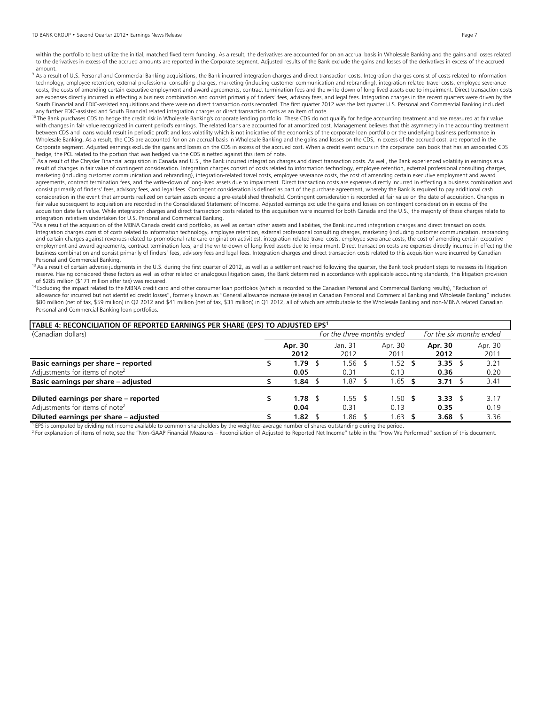#### TD BANK GROUP • Second Quarter 2012• Earnings News Release Page 7

within the portfolio to best utilize the initial, matched fixed term funding. As a result, the derivatives are accounted for on an accrual basis in Wholesale Banking and the gains and losses related to the derivatives in excess of the accrued amounts are reported in the Corporate segment. Adjusted results of the Bank exclude the gains and losses of the derivatives in excess of the accrued amount.

- As a result of U.S. Personal and Commercial Banking acquisitions, the Bank incurred integration charges and direct transaction costs. Integration charges consist of costs related to information technology, employee retention, external professional consulting charges, marketing (including customer communication and rebranding), integration-related travel costs, employee severance costs, the costs of amending certain executive employment and award agreements, contract termination fees and the write-down of long-lived assets due to impairment. Direct transaction costs are expenses directly incurred in effecting a business combination and consist primarily of finders' fees, advisory fees, and legal fees. Integration charges in the recent quarters were driven by the South Financial and FDIC-assisted acquisitions and there were no direct transaction costs recorded. The first quarter 2012 was the last quarter U.S. Personal and Commercial Banking included any further FDIC-assisted and South Financial related integration charges or direct transaction costs as an item of note.
- <sup>10</sup> The Bank purchases CDS to hedge the credit risk in Wholesale Banking's corporate lending portfolio. These CDS do not qualify for hedge accounting treatment and are measured at fair value with changes in fair value recognized in current period's earnings. The related loans are accounted for at amortized cost. Management believes that this asymmetry in the accounting treatment between CDS and loans would result in periodic profit and loss volatility which is not indicative of the economics of the corporate loan portfolio or the underlying business performance in Wholesale Banking. As a result, the CDS are accounted for on an accrual basis in Wholesale Banking and the gains and losses on the CDS, in excess of the accrued cost, are reported in the Corporate segment. Adjusted earnings exclude the gains and losses on the CDS in excess of the accrued cost. When a credit event occurs in the corporate loan book that has an associated CDS hedge, the PCL related to the portion that was hedged via the CDS is netted against this item of note.
- <sup>11</sup> As a result of the Chrysler Financial acquisition in Canada and U.S., the Bank incurred integration charges and direct transaction costs. As well, the Bank experienced volatility in earnings as a result of changes in fair value of contingent consideration. Integration charges consist of costs related to information technology, employee retention, external professional consulting charges, marketing (including customer communication and rebranding), integration-related travel costs, employee severance costs, the cost of amending certain executive employment and award agreements, contract termination fees, and the write-down of long-lived assets due to impairment. Direct transaction costs are expenses directly incurred in effecting a business combination and consist primarily of finders' fees, advisory fees, and legal fees. Contingent consideration is defined as part of the purchase agreement, whereby the Bank is required to pay additional cash consideration in the event that amounts realized on certain assets exceed a pre-established threshold. Contingent consideration is recorded at fair value on the date of acquisition. Changes in fair value subsequent to acquisition are recorded in the Consolidated Statement of Income. Adjusted earnings exclude the gains and losses on contingent consideration in excess of the acquisition date fair value. While integration charges and direct transaction costs related to this acquisition were incurred for both Canada and the U.S., the majority of these charges relate to integration initiatives undertaken for U.S. Personal and Commercial Banking.
- <sup>12</sup>As a result of the acquisition of the MBNA Canada credit card portfolio, as well as certain other assets and liabilities, the Bank incurred integration charges and direct transaction costs. Integration charges consist of costs related to information technology, employee retention, external professional consulting charges, marketing (including customer communication, rebranding and certain charges against revenues related to promotional-rate card origination activities), integration-related travel costs, employee severance costs, the cost of amending certain executive employment and award agreements, contract termination fees, and the write-down of long lived assets due to impairment. Direct transaction costs are expenses directly incurred in effecting the business combination and consist primarily of finders' fees, advisory fees and legal fees. Integration charges and direct transaction costs related to this acquisition were incurred by Canadian Personal and Commercial Banking.
- <sup>13</sup> As a result of certain adverse judgments in the U.S. during the first quarter of 2012, as well as a settlement reached following the quarter, the Bank took prudent steps to reassess its litigation reserve. Having considered these factors as well as other related or analogous litigation cases, the Bank determined in accordance with applicable accounting standards, this litigation provision of \$285 million (\$171 million after tax) was required.
- <sup>14</sup> Excluding the impact related to the MBNA credit card and other consumer loan portfolios (which is recorded to the Canadian Personal and Commercial Banking results), "Reduction of allowance for incurred but not identified credit losses", formerly known as "General allowance increase (release) in Canadian Personal and Commercial Banking and Wholesale Banking" includes \$80 million (net of tax, \$59 million) in Q2 2012 and \$41 million (net of tax, \$31 million) in Q1 2012, all of which are attributable to the Wholesale Banking and non-MBNA related Canadian Personal and Commercial Banking loan portfolios.

| TABLE 4: RECONCILIATION OF REPORTED EARNINGS PER SHARE (EPS) TO ADJUSTED EPS'       |                            |                           |  |                   |  |                   |  |                         |  |                          |
|-------------------------------------------------------------------------------------|----------------------------|---------------------------|--|-------------------|--|-------------------|--|-------------------------|--|--------------------------|
| (Canadian dollars)                                                                  | For the three months ended |                           |  |                   |  |                   |  |                         |  | For the six months ended |
|                                                                                     |                            | Apr. 30<br>2012           |  | Jan. 31<br>2012   |  | Apr. 30<br>2011   |  | Apr. 30<br>2012         |  | Apr. 30<br>2011          |
| Basic earnings per share – reported                                                 |                            | 1.79 <sub>5</sub>         |  | 1.56              |  | 1.52 \$           |  | 3.35 \$                 |  | 3.21                     |
| Adjustments for items of note <sup>2</sup>                                          |                            | 0.05                      |  | 0.31              |  | 0.13              |  | 0.36                    |  | 0.20                     |
| Basic earnings per share - adjusted                                                 |                            | 1.84                      |  | .87               |  | 1.65              |  | 3.71                    |  | 3.41                     |
| Diluted earnings per share - reported<br>Adjustments for items of note <sup>2</sup> |                            | 1.78 <sub>5</sub><br>0.04 |  | $1.55$ \$<br>0.31 |  | $1.50$ \$<br>0.13 |  | 3.33 $\sqrt{5}$<br>0.35 |  | 3.17<br>0.19             |
| Diluted earnings per share - adjusted                                               |                            | 1.82                      |  | .86               |  | .63               |  | 3.68                    |  | 3.36                     |

<sup>1</sup> EPS is computed by dividing net income available to common shareholders by the weighted-average number of shares outstanding during the period.<br><sup>2</sup> For explanation of items of note, see the "Non-GAAP Financial Measures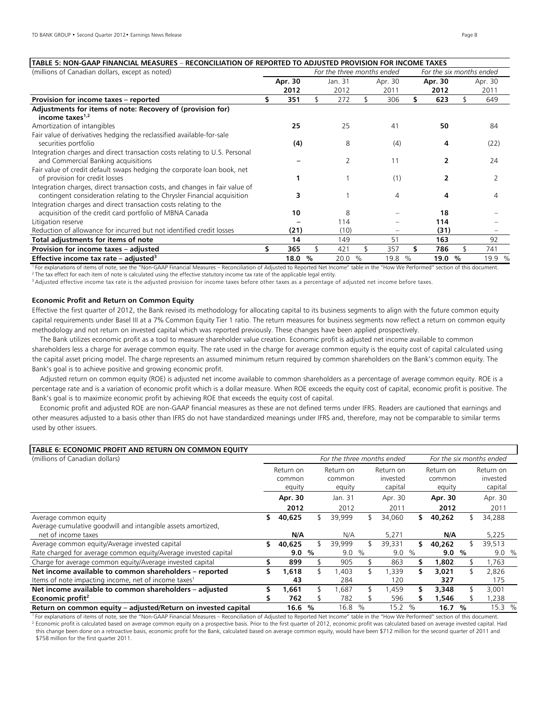### **TABLE 5: NON-GAAP FINANCIAL MEASURES** – **RECONCILIATION OF REPORTED TO ADJUSTED PROVISION FOR INCOME TAXES**

| For the three months ended |      |         |                 |  |                 |  |      |                           |                                                                        |
|----------------------------|------|---------|-----------------|--|-----------------|--|------|---------------------------|------------------------------------------------------------------------|
|                            | 2012 |         | Jan. 31<br>2012 |  | Apr. 30<br>2011 |  | 2012 |                           | Apr. 30<br>2011                                                        |
|                            | 351  |         | 272             |  | 306             |  | 623  |                           | 649                                                                    |
|                            |      |         |                 |  |                 |  |      |                           |                                                                        |
|                            | 25   |         | 25              |  | 41              |  | 50   |                           | 84                                                                     |
|                            |      |         |                 |  |                 |  |      |                           |                                                                        |
|                            | (4)  |         | 8               |  | (4)             |  | 4    |                           | (22)                                                                   |
|                            |      |         |                 |  | 11              |  |      |                           | 24                                                                     |
|                            |      |         |                 |  | (1)             |  |      |                           |                                                                        |
|                            | 3    |         |                 |  | 4               |  | 4    |                           | 4                                                                      |
|                            |      |         |                 |  |                 |  |      |                           |                                                                        |
|                            | 10   |         | 8               |  |                 |  | 18   |                           |                                                                        |
|                            |      |         | 114             |  |                 |  | 114  |                           |                                                                        |
|                            | (21) |         | (10)            |  |                 |  | (31) |                           |                                                                        |
|                            | 14   |         | 149             |  | 51              |  | 163  |                           | 92                                                                     |
|                            | 365  |         | 421             |  | 357             |  | 786  |                           | 741                                                                    |
|                            | 18.0 |         | 20.0            |  | 19.8            |  | 19.0 |                           | 19.9<br>%                                                              |
|                            |      | Apr. 30 | $\%$            |  | $\%$            |  | $\%$ | Apr. 30<br>$\overline{1}$ | For the six months ended<br>$\%$<br>$\sim$ $\sim$ $\sim$ $\sim$ $\sim$ |

<sup>1</sup> For explanations of items of note, see the "Non-GAAP Financial Measures – Reconciliation of Adjusted to Reported Net Income" table in the "How We Performed" section of this document.<br><sup>2</sup> The tax effect for each item of

#### **Economic Profit and Return on Common Equity**

Effective the first quarter of 2012, the Bank revised its methodology for allocating capital to its business segments to align with the future common equity capital requirements under Basel III at a 7% Common Equity Tier 1 ratio. The return measures for business segments now reflect a return on common equity methodology and not return on invested capital which was reported previously. These changes have been applied prospectively.

 The Bank utilizes economic profit as a tool to measure shareholder value creation. Economic profit is adjusted net income available to common shareholders less a charge for average common equity. The rate used in the charge for average common equity is the equity cost of capital calculated using the capital asset pricing model. The charge represents an assumed minimum return required by common shareholders on the Bank's common equity. The Bank's goal is to achieve positive and growing economic profit.

 Adjusted return on common equity (ROE) is adjusted net income available to common shareholders as a percentage of average common equity. ROE is a percentage rate and is a variation of economic profit which is a dollar measure. When ROE exceeds the equity cost of capital, economic profit is positive. The Bank's goal is to maximize economic profit by achieving ROE that exceeds the equity cost of capital.

 Economic profit and adjusted ROE are non-GAAP financial measures as these are not defined terms under IFRS. Readers are cautioned that earnings and other measures adjusted to a basis other than IFRS do not have standardized meanings under IFRS and, therefore, may not be comparable to similar terms used by other issuers.

| TABLE 6: ECONOMIC PROFIT AND RETURN ON COMMON EOUITY             |              |      |                            |      |           |      |           |   |                          |  |
|------------------------------------------------------------------|--------------|------|----------------------------|------|-----------|------|-----------|---|--------------------------|--|
| (millions of Canadian dollars)                                   |              |      | For the three months ended |      |           |      |           |   | For the six months ended |  |
|                                                                  | Return on    |      | Return on                  |      | Return on |      | Return on |   | Return on                |  |
|                                                                  | common       |      | common                     |      | invested  |      | common    |   | invested                 |  |
|                                                                  | equity       |      | equity                     |      | capital   |      | equity    |   | capital                  |  |
|                                                                  | Apr. 30      |      | Jan. 31                    |      | Apr. 30   |      | Apr. 30   |   | Apr. 30                  |  |
|                                                                  | 2012         |      | 2012                       |      | 2011      |      | 2012      |   | 2011                     |  |
| Average common equity                                            | \$<br>40,625 | \$   | 39,999                     | \$   | 34,060    | \$.  | 40,262    |   | 34,288                   |  |
| Average cumulative goodwill and intangible assets amortized,     |              |      |                            |      |           |      |           |   |                          |  |
| net of income taxes                                              | N/A          |      | N/A                        |      | 5,271     |      | N/A       |   | 5,225                    |  |
| Average common equity/Average invested capital                   | \$<br>40.625 |      | 39.999                     |      | 39,331    |      | 40.262    |   | 39,513                   |  |
| Rate charged for average common equity/Average invested capital  | 9.0          | %    | 9.0                        | $\%$ | 9.0       | $\%$ | 9.0       | % | 9.0%                     |  |
| Charge for average common equity/Average invested capital        | 899          |      | 905                        |      | 863       |      | 1,802     |   | .763                     |  |
| Net income available to common shareholders - reported           | 1,618        |      | .403                       |      | .339      | \$   | 3.021     |   | 2.826                    |  |
| Items of note impacting income, net of income taxes <sup>1</sup> | 43           |      | 284                        |      | 120       |      | 327       |   | 175                      |  |
| Net income available to common shareholders - adjusted           | 1.661        | \$   | ,687                       |      | ,459      |      | 3,348     |   | 3,001                    |  |
| Economic profit <sup>2</sup>                                     | 762          |      | 782                        |      | 596       |      | 1,546     |   | 238,                     |  |
| Return on common equity – adjusted/Return on invested capital    | 16.6         | $\%$ | 16.8                       | $\%$ | 15.2      | %    | 16.7      | % | 15.3 %                   |  |

<sup>1</sup> For explanations of items of note, see the "Non-GAAP Financial Measures – Reconciliation of Adjusted to Reported Net Income" table in the "How We Performed" section of this document.<br><sup>2</sup> Economic profit is calculated b this change been done on a retroactive basis, economic profit for the Bank, calculated based on average common equity, would have been \$712 million for the second quarter of 2011 and \$758 million for the first quarter 2011.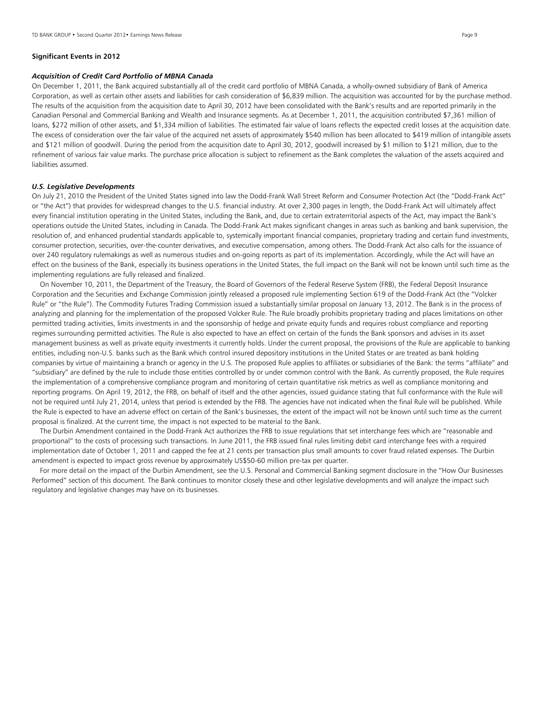#### **Significant Events in 2012**

#### *Acquisition of Credit Card Portfolio of MBNA Canada*

On December 1, 2011, the Bank acquired substantially all of the credit card portfolio of MBNA Canada, a wholly-owned subsidiary of Bank of America Corporation, as well as certain other assets and liabilities for cash consideration of \$6,839 million. The acquisition was accounted for by the purchase method. The results of the acquisition from the acquisition date to April 30, 2012 have been consolidated with the Bank's results and are reported primarily in the Canadian Personal and Commercial Banking and Wealth and Insurance segments. As at December 1, 2011, the acquisition contributed \$7,361 million of loans, \$272 million of other assets, and \$1,334 million of liabilities. The estimated fair value of loans reflects the expected credit losses at the acquisition date. The excess of consideration over the fair value of the acquired net assets of approximately \$540 million has been allocated to \$419 million of intangible assets and \$121 million of goodwill. During the period from the acquisition date to April 30, 2012, goodwill increased by \$1 million to \$121 million, due to the refinement of various fair value marks. The purchase price allocation is subject to refinement as the Bank completes the valuation of the assets acquired and liabilities assumed.

# *U.S. Legislative Developments*

On July 21, 2010 the President of the United States signed into law the Dodd-Frank Wall Street Reform and Consumer Protection Act (the "Dodd-Frank Act" or "the Act") that provides for widespread changes to the U.S. financial industry. At over 2,300 pages in length, the Dodd-Frank Act will ultimately affect every financial institution operating in the United States, including the Bank, and, due to certain extraterritorial aspects of the Act, may impact the Bank's operations outside the United States, including in Canada. The Dodd-Frank Act makes significant changes in areas such as banking and bank supervision, the resolution of, and enhanced prudential standards applicable to, systemically important financial companies, proprietary trading and certain fund investments, consumer protection, securities, over-the-counter derivatives, and executive compensation, among others. The Dodd-Frank Act also calls for the issuance of over 240 regulatory rulemakings as well as numerous studies and on-going reports as part of its implementation. Accordingly, while the Act will have an effect on the business of the Bank, especially its business operations in the United States, the full impact on the Bank will not be known until such time as the implementing regulations are fully released and finalized.

On November 10, 2011, the Department of the Treasury, the Board of Governors of the Federal Reserve System (FRB), the Federal Deposit Insurance Corporation and the Securities and Exchange Commission jointly released a proposed rule implementing Section 619 of the Dodd-Frank Act (the "Volcker Rule" or "the Rule"). The Commodity Futures Trading Commission issued a substantially similar proposal on January 13, 2012. The Bank is in the process of analyzing and planning for the implementation of the proposed Volcker Rule. The Rule broadly prohibits proprietary trading and places limitations on other permitted trading activities, limits investments in and the sponsorship of hedge and private equity funds and requires robust compliance and reporting regimes surrounding permitted activities. The Rule is also expected to have an effect on certain of the funds the Bank sponsors and advises in its asset management business as well as private equity investments it currently holds. Under the current proposal, the provisions of the Rule are applicable to banking entities, including non-U.S. banks such as the Bank which control insured depository institutions in the United States or are treated as bank holding companies by virtue of maintaining a branch or agency in the U.S. The proposed Rule applies to affiliates or subsidiaries of the Bank: the terms "affiliate" and "subsidiary" are defined by the rule to include those entities controlled by or under common control with the Bank. As currently proposed, the Rule requires the implementation of a comprehensive compliance program and monitoring of certain quantitative risk metrics as well as compliance monitoring and reporting programs. On April 19, 2012, the FRB, on behalf of itself and the other agencies, issued guidance stating that full conformance with the Rule will not be required until July 21, 2014, unless that period is extended by the FRB. The agencies have not indicated when the final Rule will be published. While the Rule is expected to have an adverse effect on certain of the Bank's businesses, the extent of the impact will not be known until such time as the current proposal is finalized. At the current time, the impact is not expected to be material to the Bank.

The Durbin Amendment contained in the Dodd-Frank Act authorizes the FRB to issue regulations that set interchange fees which are "reasonable and proportional" to the costs of processing such transactions. In June 2011, the FRB issued final rules limiting debit card interchange fees with a required implementation date of October 1, 2011 and capped the fee at 21 cents per transaction plus small amounts to cover fraud related expenses. The Durbin amendment is expected to impact gross revenue by approximately US\$50-60 million pre-tax per quarter.

For more detail on the impact of the Durbin Amendment, see the U.S. Personal and Commercial Banking segment disclosure in the "How Our Businesses Performed" section of this document. The Bank continues to monitor closely these and other legislative developments and will analyze the impact such regulatory and legislative changes may have on its businesses.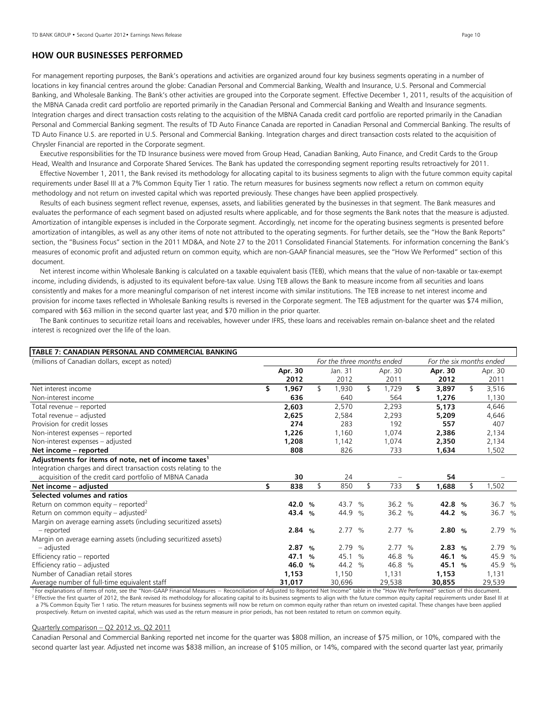# **HOW OUR BUSINESSES PERFORMED**

For management reporting purposes, the Bank's operations and activities are organized around four key business segments operating in a number of locations in key financial centres around the globe: Canadian Personal and Commercial Banking, Wealth and Insurance, U.S. Personal and Commercial Banking, and Wholesale Banking. The Bank's other activities are grouped into the Corporate segment. Effective December 1, 2011, results of the acquisition of the MBNA Canada credit card portfolio are reported primarily in the Canadian Personal and Commercial Banking and Wealth and Insurance segments. Integration charges and direct transaction costs relating to the acquisition of the MBNA Canada credit card portfolio are reported primarily in the Canadian Personal and Commercial Banking segment. The results of TD Auto Finance Canada are reported in Canadian Personal and Commercial Banking. The results of TD Auto Finance U.S. are reported in U.S. Personal and Commercial Banking. Integration charges and direct transaction costs related to the acquisition of Chrysler Financial are reported in the Corporate segment.

 Executive responsibilities for the TD Insurance business were moved from Group Head, Canadian Banking, Auto Finance, and Credit Cards to the Group Head, Wealth and Insurance and Corporate Shared Services. The Bank has updated the corresponding segment reporting results retroactively for 2011.

 Effective November 1, 2011, the Bank revised its methodology for allocating capital to its business segments to align with the future common equity capital requirements under Basel III at a 7% Common Equity Tier 1 ratio. The return measures for business segments now reflect a return on common equity methodology and not return on invested capital which was reported previously. These changes have been applied prospectively.

 Results of each business segment reflect revenue, expenses, assets, and liabilities generated by the businesses in that segment. The Bank measures and evaluates the performance of each segment based on adjusted results where applicable, and for those segments the Bank notes that the measure is adjusted. Amortization of intangible expenses is included in the Corporate segment. Accordingly, net income for the operating business segments is presented before amortization of intangibles, as well as any other items of note not attributed to the operating segments. For further details, see the "How the Bank Reports" section, the "Business Focus" section in the 2011 MD&A, and Note 27 to the 2011 Consolidated Financial Statements. For information concerning the Bank's measures of economic profit and adjusted return on common equity, which are non-GAAP financial measures, see the "How We Performed" section of this document.

 Net interest income within Wholesale Banking is calculated on a taxable equivalent basis (TEB), which means that the value of non-taxable or tax-exempt income, including dividends, is adjusted to its equivalent before-tax value. Using TEB allows the Bank to measure income from all securities and loans consistently and makes for a more meaningful comparison of net interest income with similar institutions. The TEB increase to net interest income and provision for income taxes reflected in Wholesale Banking results is reversed in the Corporate segment. The TEB adjustment for the quarter was \$74 million, compared with \$63 million in the second quarter last year, and \$70 million in the prior quarter.

 The Bank continues to securitize retail loans and receivables, however under IFRS, these loans and receivables remain on-balance sheet and the related interest is recognized over the life of the loan.

# **TABLE 7: CANADIAN PERSONAL AND COMMERCIAL BANKING**

| (millions of Canadian dollars, except as noted)                  |             |               | For the three months ended |               |         |               | For the six months ended |               |         |  |
|------------------------------------------------------------------|-------------|---------------|----------------------------|---------------|---------|---------------|--------------------------|---------------|---------|--|
|                                                                  | Apr. 30     |               | Jan. 31                    |               | Apr. 30 |               | Apr. 30                  |               | Apr. 30 |  |
|                                                                  | 2012        |               | 2012                       |               | 2011    |               | 2012                     |               | 2011    |  |
| Net interest income                                              | \$<br>1,967 | \$            | 1,930                      | \$            | 1,729   | \$            | 3,897                    | \$            | 3,516   |  |
| Non-interest income                                              | 636         |               | 640                        |               | 564     |               | 1,276                    |               | 1,130   |  |
| Total revenue - reported                                         | 2,603       |               | 2,570                      |               | 2,293   |               | 5,173                    |               | 4,646   |  |
| Total revenue - adjusted                                         | 2,625       |               | 2,584                      |               | 2,293   |               | 5,209                    |               | 4,646   |  |
| Provision for credit losses                                      | 274         |               | 283                        |               | 192     |               | 557                      |               | 407     |  |
| Non-interest expenses - reported                                 | 1,226       |               | 1,160                      |               | 1,074   |               | 2,386                    |               | 2,134   |  |
| Non-interest expenses - adjusted                                 | 1,208       |               | 1,142                      |               | 1,074   |               | 2,350                    |               | 2,134   |  |
| Net income – reported                                            | 808         |               | 826                        |               | 733     |               | 1,634                    |               | 1,502   |  |
| Adjustments for items of note, net of income taxes <sup>1</sup>  |             |               |                            |               |         |               |                          |               |         |  |
| Integration charges and direct transaction costs relating to the |             |               |                            |               |         |               |                          |               |         |  |
| acquisition of the credit card portfolio of MBNA Canada          | 30          |               | 24                         |               |         |               | 54                       |               |         |  |
| Net income - adjusted                                            | \$<br>838   | \$            | 850                        |               | 733     | \$            | 1,688                    | \$            | 1,502   |  |
| Selected volumes and ratios                                      |             |               |                            |               |         |               |                          |               |         |  |
| Return on common equity – reported <sup>2</sup>                  | 42.0 %      |               | 43.7                       | $\%$          | 36.2 %  |               | 42.8 %                   |               | 36.7 %  |  |
| Return on common equity – adjusted <sup>2</sup>                  | 43.4        | $\frac{0}{0}$ | 44.9 %                     |               | 36.2 %  |               | 44.2 %                   |               | 36.7 %  |  |
| Margin on average earning assets (including securitized assets)  |             |               |                            |               |         |               |                          |               |         |  |
| – reported                                                       | 2.84%       |               | 2.77%                      |               | 2.77%   |               | 2.80%                    |               | 2.79 %  |  |
| Margin on average earning assets (including securitized assets)  |             |               |                            |               |         |               |                          |               |         |  |
| - adjusted                                                       | 2.87        | $\frac{0}{n}$ | 2.79                       | $\frac{1}{2}$ | 2.77    | $\frac{1}{2}$ | 2.83%                    |               | 2.79 %  |  |
| Efficiency ratio - reported                                      | 47.1        | $\frac{0}{0}$ | 45.1                       | $\%$          | 46.8    | $\%$          | 46.1                     | $\frac{0}{0}$ | 45.9 %  |  |
| Efficiency ratio - adjusted                                      | 46.0        | $\frac{0}{n}$ | 44.2 %                     |               | 46.8    | $\frac{1}{2}$ | 45.1 %                   |               | 45.9 %  |  |
| Number of Canadian retail stores                                 | 1,153       |               | 1,150                      |               | 1,131   |               | 1,153                    |               | 1,131   |  |
| Average number of full-time equivalent staff                     | 31.017      |               | 30 696                     |               | 29538   |               | 30.855                   |               | 29539   |  |

<sup>1</sup> For explanations of items of note, see the "Non-GAAP Financial Measures — Reconciliation of Adjusted to Reported Net Income" table in the "How We Performed" section of this document.<br><sup>2</sup> Effective the first quarter of a 7% Common Equity Tier 1 ratio. The return measures for business segments will now be return on common equity rather than return on invested capital. These changes have been applied prospectively. Return on invested capital, which was used as the return measure in prior periods, has not been restated to return on common equity.

#### Quarterly comparison – Q2 2012 vs. Q2 2011

Canadian Personal and Commercial Banking reported net income for the quarter was \$808 million, an increase of \$75 million, or 10%, compared with the second quarter last year. Adjusted net income was \$838 million, an increase of \$105 million, or 14%, compared with the second quarter last year, primarily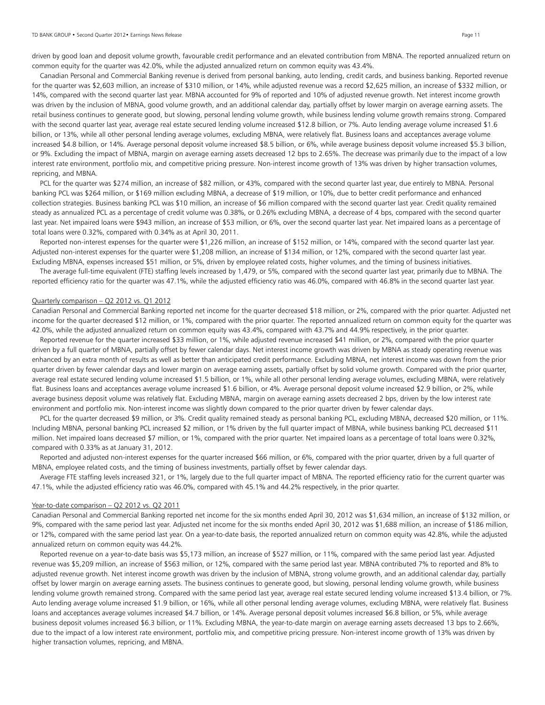driven by good loan and deposit volume growth, favourable credit performance and an elevated contribution from MBNA. The reported annualized return on common equity for the quarter was 42.0%, while the adjusted annualized return on common equity was 43.4%.

 Canadian Personal and Commercial Banking revenue is derived from personal banking, auto lending, credit cards, and business banking. Reported revenue for the quarter was \$2,603 million, an increase of \$310 million, or 14%, while adjusted revenue was a record \$2,625 million, an increase of \$332 million, or 14%, compared with the second quarter last year. MBNA accounted for 9% of reported and 10% of adjusted revenue growth. Net interest income growth was driven by the inclusion of MBNA, good volume growth, and an additional calendar day, partially offset by lower margin on average earning assets. The retail business continues to generate good, but slowing, personal lending volume growth, while business lending volume growth remains strong. Compared with the second quarter last year, average real estate secured lending volume increased \$12.8 billion, or 7%. Auto lending average volume increased \$1.6 billion, or 13%, while all other personal lending average volumes, excluding MBNA, were relatively flat. Business loans and acceptances average volume increased \$4.8 billion, or 14%. Average personal deposit volume increased \$8.5 billion, or 6%, while average business deposit volume increased \$5.3 billion, or 9%. Excluding the impact of MBNA, margin on average earning assets decreased 12 bps to 2.65%. The decrease was primarily due to the impact of a low interest rate environment, portfolio mix, and competitive pricing pressure. Non-interest income growth of 13% was driven by higher transaction volumes, repricing, and MBNA.

 PCL for the quarter was \$274 million, an increase of \$82 million, or 43%, compared with the second quarter last year, due entirely to MBNA. Personal banking PCL was \$264 million, or \$169 million excluding MBNA, a decrease of \$19 million, or 10%, due to better credit performance and enhanced collection strategies. Business banking PCL was \$10 million, an increase of \$6 million compared with the second quarter last year. Credit quality remained steady as annualized PCL as a percentage of credit volume was 0.38%, or 0.26% excluding MBNA, a decrease of 4 bps, compared with the second quarter last year. Net impaired loans were \$943 million, an increase of \$53 million, or 6%, over the second quarter last year. Net impaired loans as a percentage of total loans were 0.32%, compared with 0.34% as at April 30, 2011.

 Reported non-interest expenses for the quarter were \$1,226 million, an increase of \$152 million, or 14%, compared with the second quarter last year. Adjusted non-interest expenses for the quarter were \$1,208 million, an increase of \$134 million, or 12%, compared with the second quarter last year. Excluding MBNA, expenses increased \$51 million, or 5%, driven by employee related costs, higher volumes, and the timing of business initiatives.

 The average full-time equivalent (FTE) staffing levels increased by 1,479, or 5%, compared with the second quarter last year, primarily due to MBNA. The reported efficiency ratio for the quarter was 47.1%, while the adjusted efficiency ratio was 46.0%, compared with 46.8% in the second quarter last year.

#### Quarterly comparison – Q2 2012 vs. Q1 2012

Canadian Personal and Commercial Banking reported net income for the quarter decreased \$18 million, or 2%, compared with the prior quarter. Adjusted net income for the quarter decreased \$12 million, or 1%, compared with the prior quarter. The reported annualized return on common equity for the quarter was 42.0%, while the adjusted annualized return on common equity was 43.4%, compared with 43.7% and 44.9% respectively, in the prior quarter.

 Reported revenue for the quarter increased \$33 million, or 1%, while adjusted revenue increased \$41 million, or 2%, compared with the prior quarter driven by a full quarter of MBNA, partially offset by fewer calendar days. Net interest income growth was driven by MBNA as steady operating revenue was enhanced by an extra month of results as well as better than anticipated credit performance. Excluding MBNA, net interest income was down from the prior quarter driven by fewer calendar days and lower margin on average earning assets, partially offset by solid volume growth. Compared with the prior quarter, average real estate secured lending volume increased \$1.5 billion, or 1%, while all other personal lending average volumes, excluding MBNA, were relatively flat. Business loans and acceptances average volume increased \$1.6 billion, or 4%. Average personal deposit volume increased \$2.9 billion, or 2%, while average business deposit volume was relatively flat. Excluding MBNA, margin on average earning assets decreased 2 bps, driven by the low interest rate environment and portfolio mix. Non-interest income was slightly down compared to the prior quarter driven by fewer calendar days.

 PCL for the quarter decreased \$9 million, or 3%. Credit quality remained steady as personal banking PCL, excluding MBNA, decreased \$20 million, or 11%. Including MBNA, personal banking PCL increased \$2 million, or 1% driven by the full quarter impact of MBNA, while business banking PCL decreased \$11 million. Net impaired loans decreased \$7 million, or 1%, compared with the prior quarter. Net impaired loans as a percentage of total loans were 0.32%, compared with 0.33% as at January 31, 2012.

 Reported and adjusted non-interest expenses for the quarter increased \$66 million, or 6%, compared with the prior quarter, driven by a full quarter of MBNA, employee related costs, and the timing of business investments, partially offset by fewer calendar days.

 Average FTE staffing levels increased 321, or 1%, largely due to the full quarter impact of MBNA. The reported efficiency ratio for the current quarter was 47.1%, while the adjusted efficiency ratio was 46.0%, compared with 45.1% and 44.2% respectively, in the prior quarter.

#### Year-to-date comparison – Q2 2012 vs. Q2 2011

Canadian Personal and Commercial Banking reported net income for the six months ended April 30, 2012 was \$1,634 million, an increase of \$132 million, or 9%, compared with the same period last year. Adjusted net income for the six months ended April 30, 2012 was \$1,688 million, an increase of \$186 million, or 12%, compared with the same period last year. On a year-to-date basis, the reported annualized return on common equity was 42.8%, while the adjusted annualized return on common equity was 44.2%.

 Reported revenue on a year-to-date basis was \$5,173 million, an increase of \$527 million, or 11%, compared with the same period last year. Adjusted revenue was \$5,209 million, an increase of \$563 million, or 12%, compared with the same period last year. MBNA contributed 7% to reported and 8% to adjusted revenue growth. Net interest income growth was driven by the inclusion of MBNA, strong volume growth, and an additional calendar day, partially offset by lower margin on average earning assets. The business continues to generate good, but slowing, personal lending volume growth, while business lending volume growth remained strong. Compared with the same period last year, average real estate secured lending volume increased \$13.4 billion, or 7%. Auto lending average volume increased \$1.9 billion, or 16%, while all other personal lending average volumes, excluding MBNA, were relatively flat. Business loans and acceptances average volumes increased \$4.7 billion, or 14%. Average personal deposit volumes increased \$6.8 billion, or 5%, while average business deposit volumes increased \$6.3 billion, or 11%. Excluding MBNA, the year-to-date margin on average earning assets decreased 13 bps to 2.66%, due to the impact of a low interest rate environment, portfolio mix, and competitive pricing pressure. Non-interest income growth of 13% was driven by higher transaction volumes, repricing, and MBNA.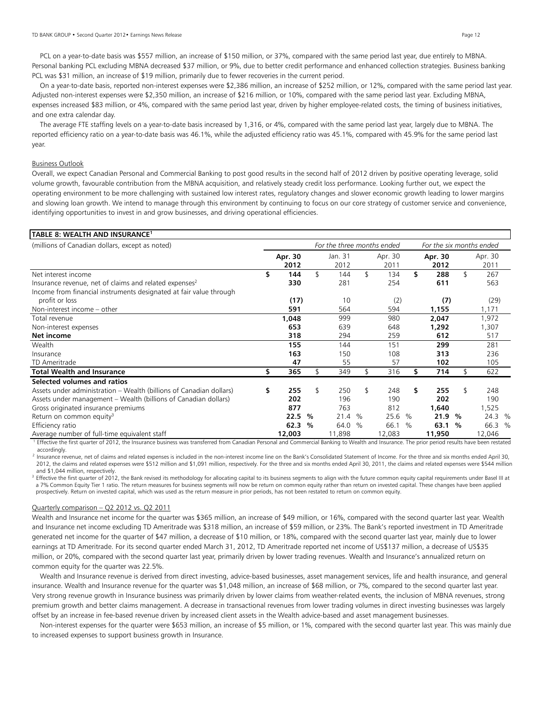PCL on a year-to-date basis was \$557 million, an increase of \$150 million, or 37%, compared with the same period last year, due entirely to MBNA. Personal banking PCL excluding MBNA decreased \$37 million, or 9%, due to better credit performance and enhanced collection strategies. Business banking PCL was \$31 million, an increase of \$19 million, primarily due to fewer recoveries in the current period.

 On a year-to-date basis, reported non-interest expenses were \$2,386 million, an increase of \$252 million, or 12%, compared with the same period last year. Adjusted non-interest expenses were \$2,350 million, an increase of \$216 million, or 10%, compared with the same period last year. Excluding MBNA, expenses increased \$83 million, or 4%, compared with the same period last year, driven by higher employee-related costs, the timing of business initiatives, and one extra calendar day.

 The average FTE staffing levels on a year-to-date basis increased by 1,316, or 4%, compared with the same period last year, largely due to MBNA. The reported efficiency ratio on a year-to-date basis was 46.1%, while the adjusted efficiency ratio was 45.1%, compared with 45.9% for the same period last year.

#### Business Outlook

Overall, we expect Canadian Personal and Commercial Banking to post good results in the second half of 2012 driven by positive operating leverage, solid volume growth, favourable contribution from the MBNA acquisition, and relatively steady credit loss performance. Looking further out, we expect the operating environment to be more challenging with sustained low interest rates, regulatory changes and slower economic growth leading to lower margins and slowing loan growth. We intend to manage through this environment by continuing to focus on our core strategy of customer service and convenience, identifying opportunities to invest in and grow businesses, and driving operational efficiencies.

| TABLE 8: WEALTH AND INSURANCE <sup>1</sup>                                                                                      |                 |                    |                            |               |                 |      |                          |      |                 |      |
|---------------------------------------------------------------------------------------------------------------------------------|-----------------|--------------------|----------------------------|---------------|-----------------|------|--------------------------|------|-----------------|------|
| (millions of Canadian dollars, except as noted)                                                                                 |                 |                    | For the three months ended |               |                 |      | For the six months ended |      |                 |      |
|                                                                                                                                 | Apr. 30<br>2012 |                    | Jan. 31<br>2012            |               | Apr. 30<br>2011 |      | Apr. 30<br>2012          |      | Apr. 30<br>2011 |      |
| Net interest income                                                                                                             | \$<br>144       | $\mathbf{\hat{S}}$ | 144                        | \$            | 134             | \$   | 288                      | \$   | 267             |      |
| Insurance revenue, net of claims and related expenses $2$<br>Income from financial instruments designated at fair value through | 330             |                    | 281                        |               | 254             |      | 611                      |      | 563             |      |
| profit or loss                                                                                                                  | (17)            |                    | 10                         |               | (2)             |      | (7)                      |      | (29)            |      |
| Non-interest income – other                                                                                                     | 591             |                    | 564                        |               | 594             |      | 1,155                    |      | 1,171           |      |
| Total revenue                                                                                                                   | 1,048           |                    | 999                        |               | 980             |      | 2,047                    |      | 1,972           |      |
| Non-interest expenses                                                                                                           | 653             |                    | 639                        |               | 648             |      | 1,292                    |      | 1,307           |      |
| Net income                                                                                                                      | 318             |                    | 294                        |               | 259             |      | 612                      |      | 517             |      |
| Wealth                                                                                                                          | 155             |                    | 144                        |               | 151             |      | 299                      |      | 281             |      |
| Insurance                                                                                                                       | 163             |                    | 150                        |               | 108             |      | 313                      |      | 236             |      |
| TD Ameritrade                                                                                                                   | 47              |                    | 55                         |               | 57              |      | 102                      |      | 105             |      |
| <b>Total Wealth and Insurance</b>                                                                                               | 365             |                    | 349                        | \$            | 316             | \$   | 714                      |      | 622             |      |
| Selected volumes and ratios                                                                                                     |                 |                    |                            |               |                 |      |                          |      |                 |      |
| Assets under administration – Wealth (billions of Canadian dollars)                                                             | \$<br>255       | \$                 | 250                        | \$            | 248             | \$   | 255                      | \$   | 248             |      |
| Assets under management – Wealth (billions of Canadian dollars)                                                                 | 202             |                    | 196                        |               | 190             |      | 202                      |      | 190             |      |
| Gross originated insurance premiums                                                                                             | 877             |                    | 763                        |               | 812             |      | 1,640                    |      | 1,525           |      |
| Return on common equity <sup>3</sup>                                                                                            | 22.5            | $\%$               | 21.4                       | $\frac{1}{2}$ | 25.6            | $\%$ | 21.9                     | %    | 24.3 %          |      |
| Efficiency ratio                                                                                                                | 62.3            | $\frac{0}{0}$      | 64.0                       | $\%$          | 66.1            | $\%$ | 63.1                     | $\%$ | 66.3            | $\%$ |
| Average number of full-time equivalent staff                                                                                    | 12,003          |                    | 11,898                     |               | 12,083          |      | 11,950                   |      | 12,046          |      |

Average number of full-time equivalent staff<br>In the strate of the strate of 2012, the Insurance business was transferred from Canadian Personal and Commercial Banking to Wealth and Insurance. The prior period results have accordingly.

<sup>2</sup> Insurance revenue, net of claims and related expenses is included in the non-interest income line on the Bank's Consolidated Statement of Income. For the three and six months ended April 30, 2012, the claims and related expenses were \$512 million and \$1,091 million, respectively. For the three and six months ended April 30, 2011, the claims and related expenses were \$544 million and \$1,044 million, respectively.

<sup>3</sup> Effective the first quarter of 2012, the Bank revised its methodology for allocating capital to its business segments to align with the future common equity capital requirements under Basel III at a 7% Common Fauity Tier 1 ratio. The return measures for business segments will now be return on common equity rather than return on invested capital. These changes have been applied prospectively. Return on invested capital, which was used as the return measure in prior periods, has not been restated to return on common equity.

#### Quarterly comparison – Q2 2012 vs. Q2 2011

Wealth and Insurance net income for the quarter was \$365 million, an increase of \$49 million, or 16%, compared with the second quarter last year. Wealth and Insurance net income excluding TD Ameritrade was \$318 million, an increase of \$59 million, or 23%. The Bank's reported investment in TD Ameritrade generated net income for the quarter of \$47 million, a decrease of \$10 million, or 18%, compared with the second quarter last year, mainly due to lower earnings at TD Ameritrade. For its second quarter ended March 31, 2012, TD Ameritrade reported net income of US\$137 million, a decrease of US\$35 million, or 20%, compared with the second quarter last year, primarily driven by lower trading revenues. Wealth and Insurance's annualized return on common equity for the quarter was 22.5%.

 Wealth and Insurance revenue is derived from direct investing, advice-based businesses, asset management services, life and health insurance, and general insurance. Wealth and Insurance revenue for the quarter was \$1,048 million, an increase of \$68 million, or 7%, compared to the second quarter last year. Very strong revenue growth in Insurance business was primarily driven by lower claims from weather-related events, the inclusion of MBNA revenues, strong premium growth and better claims management. A decrease in transactional revenues from lower trading volumes in direct investing businesses was largely offset by an increase in fee-based revenue driven by increased client assets in the Wealth advice-based and asset management businesses.

 Non-interest expenses for the quarter were \$653 million, an increase of \$5 million, or 1%, compared with the second quarter last year. This was mainly due to increased expenses to support business growth in Insurance.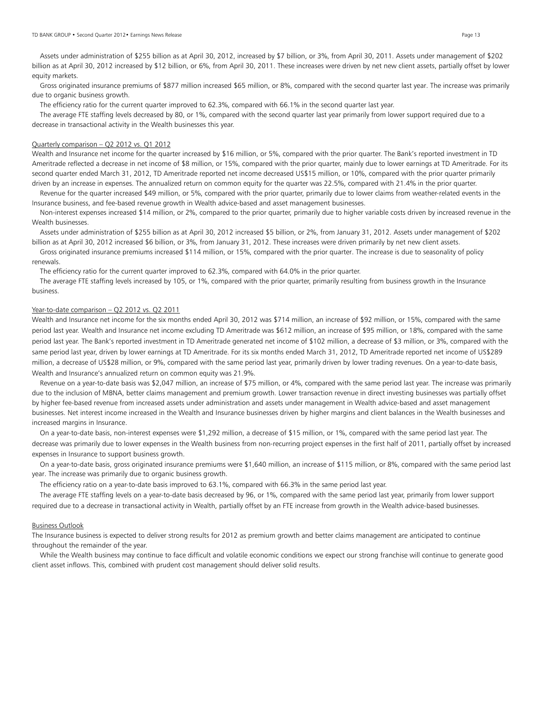Assets under administration of \$255 billion as at April 30, 2012, increased by \$7 billion, or 3%, from April 30, 2011. Assets under management of \$202 billion as at April 30, 2012 increased by \$12 billion, or 6%, from April 30, 2011. These increases were driven by net new client assets, partially offset by lower equity markets.

 Gross originated insurance premiums of \$877 million increased \$65 million, or 8%, compared with the second quarter last year. The increase was primarily due to organic business growth.

The efficiency ratio for the current quarter improved to 62.3%, compared with 66.1% in the second quarter last year.

 The average FTE staffing levels decreased by 80, or 1%, compared with the second quarter last year primarily from lower support required due to a decrease in transactional activity in the Wealth businesses this year.

# Quarterly comparison – Q2 2012 vs. Q1 2012

Wealth and Insurance net income for the quarter increased by \$16 million, or 5%, compared with the prior quarter. The Bank's reported investment in TD Ameritrade reflected a decrease in net income of \$8 million, or 15%, compared with the prior quarter, mainly due to lower earnings at TD Ameritrade. For its second quarter ended March 31, 2012, TD Ameritrade reported net income decreased US\$15 million, or 10%, compared with the prior quarter primarily driven by an increase in expenses. The annualized return on common equity for the quarter was 22.5%, compared with 21.4% in the prior quarter.

 Revenue for the quarter increased \$49 million, or 5%, compared with the prior quarter, primarily due to lower claims from weather-related events in the Insurance business, and fee-based revenue growth in Wealth advice-based and asset management businesses.

 Non-interest expenses increased \$14 million, or 2%, compared to the prior quarter, primarily due to higher variable costs driven by increased revenue in the Wealth businesses.

 Assets under administration of \$255 billion as at April 30, 2012 increased \$5 billion, or 2%, from January 31, 2012. Assets under management of \$202 billion as at April 30, 2012 increased \$6 billion, or 3%, from January 31, 2012. These increases were driven primarily by net new client assets.

 Gross originated insurance premiums increased \$114 million, or 15%, compared with the prior quarter. The increase is due to seasonality of policy renewals.

The efficiency ratio for the current quarter improved to 62.3%, compared with 64.0% in the prior quarter.

 The average FTE staffing levels increased by 105, or 1%, compared with the prior quarter, primarily resulting from business growth in the Insurance business.

#### Year-to-date comparison - Q2 2012 vs. Q2 2011

Wealth and Insurance net income for the six months ended April 30, 2012 was \$714 million, an increase of \$92 million, or 15%, compared with the same period last year. Wealth and Insurance net income excluding TD Ameritrade was \$612 million, an increase of \$95 million, or 18%, compared with the same period last year. The Bank's reported investment in TD Ameritrade generated net income of \$102 million, a decrease of \$3 million, or 3%, compared with the same period last year, driven by lower earnings at TD Ameritrade. For its six months ended March 31, 2012, TD Ameritrade reported net income of US\$289 million, a decrease of US\$28 million, or 9%, compared with the same period last year, primarily driven by lower trading revenues. On a year-to-date basis, Wealth and Insurance's annualized return on common equity was 21.9%.

 Revenue on a year-to-date basis was \$2,047 million, an increase of \$75 million, or 4%, compared with the same period last year. The increase was primarily due to the inclusion of MBNA, better claims management and premium growth. Lower transaction revenue in direct investing businesses was partially offset by higher fee-based revenue from increased assets under administration and assets under management in Wealth advice-based and asset management businesses. Net interest income increased in the Wealth and Insurance businesses driven by higher margins and client balances in the Wealth businesses and increased margins in Insurance.

 On a year-to-date basis, non-interest expenses were \$1,292 million, a decrease of \$15 million, or 1%, compared with the same period last year. The decrease was primarily due to lower expenses in the Wealth business from non-recurring project expenses in the first half of 2011, partially offset by increased expenses in Insurance to support business growth.

 On a year-to-date basis, gross originated insurance premiums were \$1,640 million, an increase of \$115 million, or 8%, compared with the same period last year. The increase was primarily due to organic business growth.

The efficiency ratio on a year-to-date basis improved to 63.1%, compared with 66.3% in the same period last year.

 The average FTE staffing levels on a year-to-date basis decreased by 96, or 1%, compared with the same period last year, primarily from lower support required due to a decrease in transactional activity in Wealth, partially offset by an FTE increase from growth in the Wealth advice-based businesses.

#### Business Outlook

The Insurance business is expected to deliver strong results for 2012 as premium growth and better claims management are anticipated to continue throughout the remainder of the year.

 While the Wealth business may continue to face difficult and volatile economic conditions we expect our strong franchise will continue to generate good client asset inflows. This, combined with prudent cost management should deliver solid results.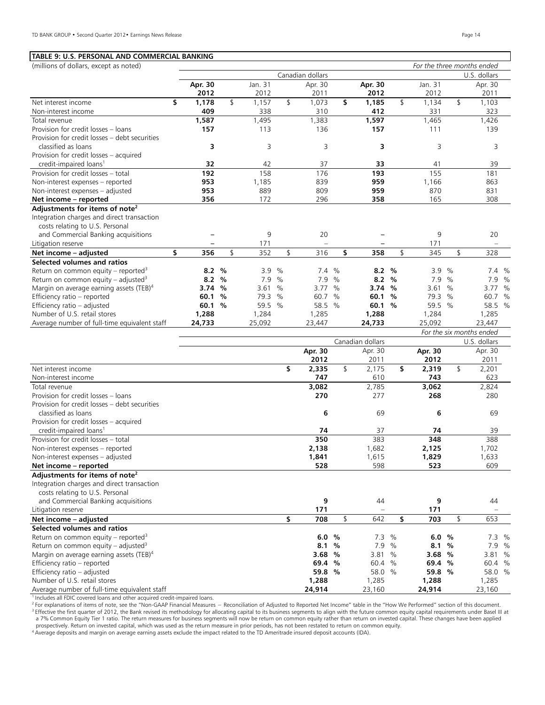| TABLE 9: U.S. PERSONAL AND COMMERCIAL BANKING                                                                                          |             |      |             |      |                  |      |                  |           |        |           |      |                            |                       |
|----------------------------------------------------------------------------------------------------------------------------------------|-------------|------|-------------|------|------------------|------|------------------|-----------|--------|-----------|------|----------------------------|-----------------------|
| (millions of dollars, except as noted)                                                                                                 |             |      |             |      |                  |      |                  |           |        |           |      | For the three months ended |                       |
|                                                                                                                                        |             |      |             |      | Canadian dollars |      |                  |           |        |           |      | U.S. dollars               |                       |
|                                                                                                                                        | Apr. 30     |      | Jan. 31     |      | Apr. 30          |      | Apr. 30          |           |        | Jan. 31   |      | Apr. 30                    |                       |
|                                                                                                                                        | 2012        |      | 2012        |      | 2011             |      |                  | 2012      |        | 2012      |      | 2011                       |                       |
| Net interest income                                                                                                                    | \$<br>1,178 |      | \$<br>1,157 | \$   | 1,073            |      | \$               | 1,185     | \$     | 1,134     | \$   | 1,103                      |                       |
| Non-interest income                                                                                                                    | 409         |      | 338         |      | 310              |      |                  | 412       |        | 331       |      | 323                        |                       |
| Total revenue                                                                                                                          | 1,587       |      | 1,495       |      | 1,383            |      |                  | 1,597     |        | 1,465     |      | 1,426                      |                       |
| Provision for credit losses - loans                                                                                                    | 157         |      | 113         |      | 136              |      |                  | 157       |        | 111       |      | 139                        |                       |
| Provision for credit losses - debt securities                                                                                          |             |      |             |      |                  |      |                  |           |        |           |      |                            |                       |
| classified as loans                                                                                                                    | 3           |      | 3           |      | 3                |      |                  | з         |        | 3         |      |                            | 3                     |
| Provision for credit losses - acquired                                                                                                 |             |      |             |      |                  |      |                  |           |        |           |      |                            |                       |
| credit-impaired loans <sup>1</sup>                                                                                                     | 32          |      | 42          |      | 37               |      |                  | 33        |        | 41        |      | 39                         |                       |
| Provision for credit losses - total                                                                                                    | 192         |      | 158         |      | 176              |      |                  | 193       |        | 155       |      | 181                        |                       |
| Non-interest expenses - reported                                                                                                       | 953         |      | 1,185       |      | 839              |      |                  | 959       |        | 1,166     |      | 863                        |                       |
| Non-interest expenses - adjusted                                                                                                       | 953         |      | 889         |      | 809              |      |                  | 959       |        | 870       |      | 831                        |                       |
| Net income - reported                                                                                                                  | 356         |      | 172         |      | 296              |      |                  | 358       |        | 165       |      | 308                        |                       |
| Adjustments for items of note <sup>2</sup>                                                                                             |             |      |             |      |                  |      |                  |           |        |           |      |                            |                       |
| Integration charges and direct transaction                                                                                             |             |      |             |      |                  |      |                  |           |        |           |      |                            |                       |
| costs relating to U.S. Personal                                                                                                        |             |      |             |      |                  |      |                  |           |        |           |      |                            |                       |
| and Commercial Banking acquisitions                                                                                                    |             |      | 9           |      | 20               |      |                  |           |        | 9         |      | 20                         |                       |
| Litigation reserve                                                                                                                     |             |      | 171         |      |                  |      |                  |           |        | 171       |      |                            |                       |
| Net income - adjusted                                                                                                                  | \$<br>356   |      | \$<br>352   | \$   | 316              |      | \$               | 358       | \$     | 345       | \$   | 328                        |                       |
| Selected volumes and ratios                                                                                                            | 8.2         | $\%$ | 3.9         | $\%$ | 7.4%             |      |                  | 8.2       | $\%$   | 3.9       | $\%$ |                            |                       |
| Return on common equity – reported <sup>3</sup>                                                                                        | 8.2         | $\%$ | 7.9         | $\%$ | 7.9              | $\%$ |                  | 8.2       | $\%$   | 7.9       | $\%$ | 7.9                        | 7.4%<br>$\frac{1}{2}$ |
| Return on common equity – adjusted <sup>3</sup><br>Margin on average earning assets (TEB) <sup>4</sup>                                 | 3.74        | %    | 3.61        | $\%$ | 3.77             | %    |                  |           | 3.74%  | 3.61      | $\%$ | 3.77                       | $\%$                  |
| Efficiency ratio - reported                                                                                                            | 60.1        | $\%$ | 79.3        | $\%$ | 60.7             | $\%$ |                  | 60.1      | $\%$   | 79.3      | %    | 60.7                       | $\frac{0}{c}$         |
| Efficiency ratio - adjusted                                                                                                            | 60.1 %      |      | 59.5        | $\%$ | 58.5 %           |      |                  |           | 60.1 % | 59.5 %    |      |                            | 58.5 %                |
| Number of U.S. retail stores                                                                                                           | 1,288       |      | 1,284       |      | 1,285            |      |                  | 1,288     |        | 1,284     |      | 1,285                      |                       |
| Average number of full-time equivalent staff                                                                                           | 24,733      |      | 25,092      |      | 23,447           |      | 24,733           |           |        | 25,092    |      | 23,447                     |                       |
|                                                                                                                                        |             |      |             |      |                  |      |                  |           |        |           |      | For the six months ended   |                       |
|                                                                                                                                        |             |      |             |      |                  |      | Canadian dollars |           |        |           |      | U.S. dollars               |                       |
|                                                                                                                                        |             |      |             |      | Apr. 30          |      | Apr. 30          |           |        | Apr. 30   |      | Apr. 30                    |                       |
|                                                                                                                                        |             |      |             |      | 2012             |      |                  | 2011      |        | 2012      |      | 2011                       |                       |
| Net interest income                                                                                                                    |             |      |             | \$   | 2,335            |      | \$               | 2,175     | \$     | 2,319     | \$   | 2,201                      |                       |
| Non-interest income                                                                                                                    |             |      |             |      | 747              |      |                  | 610       |        | 743       |      | 623                        |                       |
| Total revenue                                                                                                                          |             |      |             |      | 3,082            |      |                  | 2,785     |        | 3,062     |      | 2,824                      |                       |
| Provision for credit losses - loans                                                                                                    |             |      |             |      | 270              |      |                  | 277       |        | 268       |      | 280                        |                       |
| Provision for credit losses - debt securities                                                                                          |             |      |             |      |                  |      |                  |           |        |           |      |                            |                       |
| classified as loans                                                                                                                    |             |      |             |      | 6                |      |                  | 69        |        | 6         |      | 69                         |                       |
| Provision for credit losses - acquired<br>credit-impaired loans <sup>1</sup>                                                           |             |      |             |      |                  |      |                  |           |        |           |      |                            |                       |
| Provision for credit losses - total                                                                                                    |             |      |             |      | 74<br>350        |      |                  | 37<br>383 |        | 74<br>348 |      | 39<br>388                  |                       |
| Non-interest expenses – reported                                                                                                       |             |      |             |      | 2,138            |      |                  | 1,682     |        | 2,125     |      | 1,702                      |                       |
| Non-interest expenses - adjusted                                                                                                       |             |      |             |      | 1,841            |      |                  | 1,615     |        | 1,829     |      | 1,633                      |                       |
| Net income - reported                                                                                                                  |             |      |             |      | 528              |      |                  | 598       |        | 523       |      | 609                        |                       |
| Adjustments for items of note <sup>2</sup>                                                                                             |             |      |             |      |                  |      |                  |           |        |           |      |                            |                       |
| Integration charges and direct transaction                                                                                             |             |      |             |      |                  |      |                  |           |        |           |      |                            |                       |
| costs relating to U.S. Personal                                                                                                        |             |      |             |      |                  |      |                  |           |        |           |      |                            |                       |
| and Commercial Banking acquisitions                                                                                                    |             |      |             |      | 9                |      |                  | 44        |        | 9         |      | 44                         |                       |
| Litigation reserve                                                                                                                     |             |      |             |      | 171              |      |                  |           |        | 171       |      |                            |                       |
| Net income - adjusted                                                                                                                  |             |      |             | \$   | 708              |      | \$               | 642       | \$     | 703       | \$   | 653                        |                       |
| Selected volumes and ratios                                                                                                            |             |      |             |      |                  |      |                  |           |        |           |      |                            |                       |
| Return on common equity – reported <sup>3</sup>                                                                                        |             |      |             |      | 6.0%             |      |                  |           | 7.3 %  | 6.0       | %    |                            | 7.3%                  |
| Return on common equity – adjusted <sup>3</sup>                                                                                        |             |      |             |      | 8.1              | %    |                  |           | 7.9 %  | 8.1       | %    |                            | 7.9 %                 |
| Margin on average earning assets (TEB) <sup>4</sup>                                                                                    |             |      |             |      | 3.68 %           |      |                  |           | 3.81 % | 3.68%     |      |                            | 3.81 %                |
| Efficiency ratio - reported                                                                                                            |             |      |             |      | 69.4 %           |      |                  |           | 60.4 % | 69.4 %    |      |                            | 60.4 %                |
| Efficiency ratio - adjusted                                                                                                            |             |      |             |      | 59.8 %           |      |                  |           | 58.0 % | 59.8 %    |      |                            | 58.0 %                |
| Number of U.S. retail stores                                                                                                           |             |      |             |      | 1,288            |      |                  | 1,285     |        | 1,288     |      | 1,285                      |                       |
| Average number of full-time equivalent staff<br><sup>1</sup> Includes all FDIC covered loans and other acquired credit-impaired loans. |             |      |             |      | 24,914           |      | 23,160           |           |        | 24,914    |      | 23,160                     |                       |
|                                                                                                                                        |             |      |             |      |                  |      |                  |           |        |           |      |                            |                       |

<sup>2</sup> For explanations of items of note, see the "Non-GAAP Financial Measures – Reconciliation of Adjusted to Reported Net Income" table in the "How We Performed" section of this document.<br><sup>2</sup> Effective the first quarter of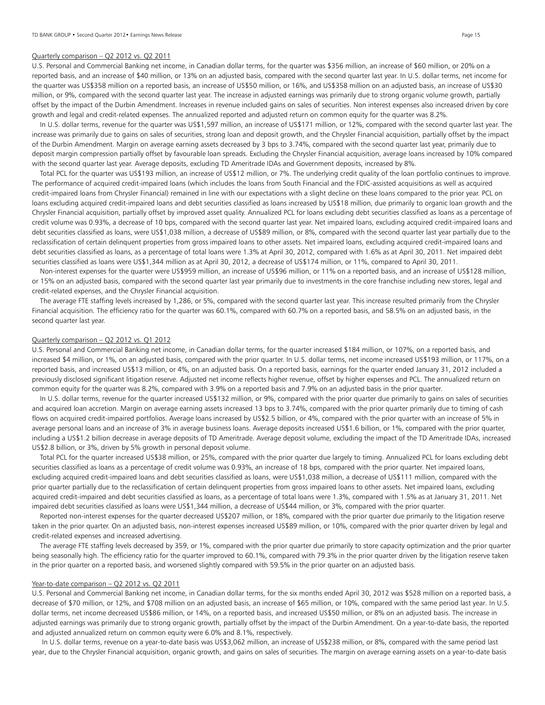#### Quarterly comparison – Q2 2012 vs. Q2 2011

U.S. Personal and Commercial Banking net income, in Canadian dollar terms, for the quarter was \$356 million, an increase of \$60 million, or 20% on a reported basis, and an increase of \$40 million, or 13% on an adjusted basis, compared with the second quarter last year. In U.S. dollar terms, net income for the quarter was US\$358 million on a reported basis, an increase of US\$50 million, or 16%, and US\$358 million on an adjusted basis, an increase of US\$30 million, or 9%, compared with the second quarter last year. The increase in adjusted earnings was primarily due to strong organic volume growth, partially offset by the impact of the Durbin Amendment. Increases in revenue included gains on sales of securities. Non interest expenses also increased driven by core growth and legal and credit-related expenses. The annualized reported and adjusted return on common equity for the quarter was 8.2%.

 In U.S. dollar terms, revenue for the quarter was US\$1,597 million, an increase of US\$171 million, or 12%, compared with the second quarter last year. The increase was primarily due to gains on sales of securities, strong loan and deposit growth, and the Chrysler Financial acquisition, partially offset by the impact of the Durbin Amendment. Margin on average earning assets decreased by 3 bps to 3.74%, compared with the second quarter last year, primarily due to deposit margin compression partially offset by favourable loan spreads. Excluding the Chrysler Financial acquisition, average loans increased by 10% compared with the second quarter last year. Average deposits, excluding TD Ameritrade IDAs and Government deposits, increased by 8%.

 Total PCL for the quarter was US\$193 million, an increase of US\$12 million, or 7%. The underlying credit quality of the loan portfolio continues to improve. The performance of acquired credit-impaired loans (which includes the loans from South Financial and the FDIC-assisted acquisitions as well as acquired credit-impaired loans from Chrysler Financial) remained in line with our expectations with a slight decline on these loans compared to the prior year. PCL on loans excluding acquired credit-impaired loans and debt securities classified as loans increased by US\$18 million, due primarily to organic loan growth and the Chrysler Financial acquisition, partially offset by improved asset quality. Annualized PCL for loans excluding debt securities classified as loans as a percentage of credit volume was 0.93%, a decrease of 10 bps, compared with the second quarter last year. Net impaired loans, excluding acquired credit-impaired loans and debt securities classified as loans, were US\$1,038 million, a decrease of US\$89 million, or 8%, compared with the second quarter last year partially due to the reclassification of certain delinquent properties from gross impaired loans to other assets. Net impaired loans, excluding acquired credit-impaired loans and debt securities classified as loans, as a percentage of total loans were 1.3% at April 30, 2012, compared with 1.6% as at April 30, 2011. Net impaired debt securities classified as loans were US\$1,344 million as at April 30, 2012, a decrease of US\$174 million, or 11%, compared to April 30, 2011.

 Non-interest expenses for the quarter were US\$959 million, an increase of US\$96 million, or 11% on a reported basis, and an increase of US\$128 million, or 15% on an adjusted basis, compared with the second quarter last year primarily due to investments in the core franchise including new stores, legal and credit-related expenses, and the Chrysler Financial acquisition.

 The average FTE staffing levels increased by 1,286, or 5%, compared with the second quarter last year. This increase resulted primarily from the Chrysler Financial acquisition. The efficiency ratio for the quarter was 60.1%, compared with 60.7% on a reported basis, and 58.5% on an adjusted basis, in the second quarter last year.

#### Quarterly comparison – Q2 2012 vs. Q1 2012

U.S. Personal and Commercial Banking net income, in Canadian dollar terms, for the quarter increased \$184 million, or 107%, on a reported basis, and increased \$4 million, or 1%, on an adjusted basis, compared with the prior quarter. In U.S. dollar terms, net income increased US\$193 million, or 117%, on a reported basis, and increased US\$13 million, or 4%, on an adjusted basis. On a reported basis, earnings for the quarter ended January 31, 2012 included a previously disclosed significant litigation reserve. Adjusted net income reflects higher revenue, offset by higher expenses and PCL. The annualized return on common equity for the quarter was 8.2%, compared with 3.9% on a reported basis and 7.9% on an adjusted basis in the prior quarter.

 In U.S. dollar terms, revenue for the quarter increased US\$132 million, or 9%, compared with the prior quarter due primarily to gains on sales of securities and acquired loan accretion. Margin on average earning assets increased 13 bps to 3.74%, compared with the prior quarter primarily due to timing of cash flows on acquired credit-impaired portfolios. Average loans increased by US\$2.5 billion, or 4%, compared with the prior quarter with an increase of 5% in average personal loans and an increase of 3% in average business loans. Average deposits increased US\$1.6 billion, or 1%, compared with the prior quarter, including a US\$1.2 billion decrease in average deposits of TD Ameritrade. Average deposit volume, excluding the impact of the TD Ameritrade IDAs, increased US\$2.8 billion, or 3%, driven by 5% growth in personal deposit volume.

 Total PCL for the quarter increased US\$38 million, or 25%, compared with the prior quarter due largely to timing. Annualized PCL for loans excluding debt securities classified as loans as a percentage of credit volume was 0.93%, an increase of 18 bps, compared with the prior quarter. Net impaired loans, excluding acquired credit-impaired loans and debt securities classified as loans, were US\$1,038 million, a decrease of US\$111 million, compared with the prior quarter partially due to the reclassification of certain delinquent properties from gross impaired loans to other assets. Net impaired loans, excluding acquired credit-impaired and debt securities classified as loans, as a percentage of total loans were 1.3%, compared with 1.5% as at January 31, 2011. Net impaired debt securities classified as loans were US\$1,344 million, a decrease of US\$44 million, or 3%, compared with the prior quarter.

 Reported non-interest expenses for the quarter decreased US\$207 million, or 18%, compared with the prior quarter due primarily to the litigation reserve taken in the prior quarter. On an adjusted basis, non-interest expenses increased US\$89 million, or 10%, compared with the prior quarter driven by legal and credit-related expenses and increased advertising.

 The average FTE staffing levels decreased by 359, or 1%, compared with the prior quarter due primarily to store capacity optimization and the prior quarter being seasonally high. The efficiency ratio for the quarter improved to 60.1%, compared with 79.3% in the prior quarter driven by the litigation reserve taken in the prior quarter on a reported basis, and worsened slightly compared with 59.5% in the prior quarter on an adjusted basis.

#### Year-to-date comparison - Q2 2012 vs. Q2 2011

U.S. Personal and Commercial Banking net income, in Canadian dollar terms, for the six months ended April 30, 2012 was \$528 million on a reported basis, a decrease of \$70 million, or 12%, and \$708 million on an adjusted basis, an increase of \$65 million, or 10%, compared with the same period last year. In U.S. dollar terms, net income decreased US\$86 million, or 14%, on a reported basis, and increased US\$50 million, or 8% on an adjusted basis. The increase in adjusted earnings was primarily due to strong organic growth, partially offset by the impact of the Durbin Amendment. On a year-to-date basis, the reported and adjusted annualized return on common equity were 6.0% and 8.1%, respectively.

 In U.S. dollar terms, revenue on a year-to-date basis was US\$3,062 million, an increase of US\$238 million, or 8%, compared with the same period last year, due to the Chrysler Financial acquisition, organic growth, and gains on sales of securities. The margin on average earning assets on a year-to-date basis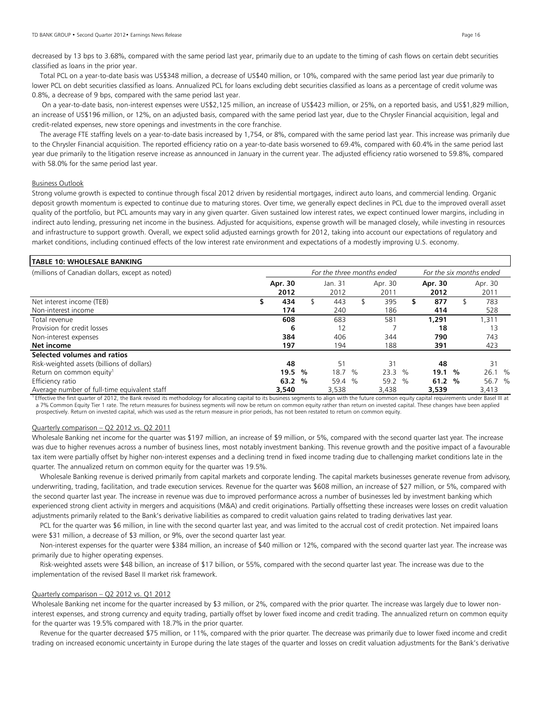decreased by 13 bps to 3.68%, compared with the same period last year, primarily due to an update to the timing of cash flows on certain debt securities classified as loans in the prior year.

 Total PCL on a year-to-date basis was US\$348 million, a decrease of US\$40 million, or 10%, compared with the same period last year due primarily to lower PCL on debt securities classified as loans. Annualized PCL for loans excluding debt securities classified as loans as a percentage of credit volume was 0.8%, a decrease of 9 bps, compared with the same period last year.

 On a year-to-date basis, non-interest expenses were US\$2,125 million, an increase of US\$423 million, or 25%, on a reported basis, and US\$1,829 million, an increase of US\$196 million, or 12%, on an adjusted basis, compared with the same period last year, due to the Chrysler Financial acquisition, legal and credit-related expenses, new store openings and investments in the core franchise.

 The average FTE staffing levels on a year-to-date basis increased by 1,754, or 8%, compared with the same period last year. This increase was primarily due to the Chrysler Financial acquisition. The reported efficiency ratio on a year-to-date basis worsened to 69.4%, compared with 60.4% in the same period last year due primarily to the litigation reserve increase as announced in January in the current year. The adjusted efficiency ratio worsened to 59.8%, compared with 58.0% for the same period last year.

#### Business Outlook

Strong volume growth is expected to continue through fiscal 2012 driven by residential mortgages, indirect auto loans, and commercial lending. Organic deposit growth momentum is expected to continue due to maturing stores. Over time, we generally expect declines in PCL due to the improved overall asset quality of the portfolio, but PCL amounts may vary in any given quarter. Given sustained low interest rates, we expect continued lower margins, including in indirect auto lending, pressuring net income in the business. Adjusted for acquisitions, expense growth will be managed closely, while investing in resources and infrastructure to support growth. Overall, we expect solid adjusted earnings growth for 2012, taking into account our expectations of regulatory and market conditions, including continued effects of the low interest rate environment and expectations of a modestly improving U.S. economy.

# **TABLE 10: WHOLESALE BANKING**

| (millions of Canadian dollars, except as noted) | For the three months ended |         |      |         |      |         | For the six months ended |         |      |         |  |
|-------------------------------------------------|----------------------------|---------|------|---------|------|---------|--------------------------|---------|------|---------|--|
|                                                 |                            | Apr. 30 |      | Jan. 31 |      | Apr. 30 |                          | Apr. 30 |      | Apr. 30 |  |
|                                                 |                            | 2012    |      | 2012    |      | 2011    |                          | 2012    |      | 2011    |  |
| Net interest income (TEB)                       |                            | 434     |      | 443     | \$.  | 395     | s.                       | 877     |      | 783     |  |
| Non-interest income                             |                            | 174     |      | 240     |      | 186     |                          | 414     |      | 528     |  |
| Total revenue                                   |                            | 608     |      | 683     |      | 581     |                          | 1,291   |      | ,311    |  |
| Provision for credit losses                     |                            | 6       |      | 12      |      |         |                          | 18      |      | 13      |  |
| Non-interest expenses                           |                            | 384     |      | 406     |      | 344     |                          | 790     |      | 743     |  |
| Net income                                      |                            | 197     |      | 194     |      | 188     |                          | 391     |      | 423     |  |
| Selected volumes and ratios                     |                            |         |      |         |      |         |                          |         |      |         |  |
| Risk-weighted assets (billions of dollars)      |                            | 48      |      | 51      |      | 31      |                          | 48      |      | 31      |  |
| Return on common equity <sup>1</sup>            |                            | 19.5    | $\%$ | 18.7    | $\%$ | 23.3    | $\%$                     | 19.1    | $\%$ | 26.1 %  |  |
| Efficiency ratio                                |                            | 63.2 %  |      | 59.4 %  |      | 59.2 %  |                          | 61.2    | %    | 56.7 %  |  |
| Average number of full-time equivalent staff    |                            | 3,540   |      | 3.538   |      | 3,438   |                          | 3,539   |      | 3,413   |  |

<sup>1</sup> Effective the first quarter of 2012, the Bank revised its methodology for allocating capital to its business segments to align with the future common equity capital requirements under Basel III at a 7% Common Equity Tier 1 rate. The return measures for business segments will now be return on common equity rather than return on invested capital. These changes have been applied prospectively. Return on invested capital, which was used as the return measure in prior periods, has not been restated to return on common equity.

# Quarterly comparison – Q2 2012 vs. Q2 2011

Wholesale Banking net income for the quarter was \$197 million, an increase of \$9 million, or 5%, compared with the second quarter last year. The increase was due to higher revenues across a number of business lines, most notably investment banking. This revenue growth and the positive impact of a favourable tax item were partially offset by higher non-interest expenses and a declining trend in fixed income trading due to challenging market conditions late in the quarter. The annualized return on common equity for the quarter was 19.5%.

 Wholesale Banking revenue is derived primarily from capital markets and corporate lending. The capital markets businesses generate revenue from advisory, underwriting, trading, facilitation, and trade execution services. Revenue for the quarter was \$608 million, an increase of \$27 million, or 5%, compared with the second quarter last year. The increase in revenue was due to improved performance across a number of businesses led by investment banking which experienced strong client activity in mergers and acquisitions (M&A) and credit originations. Partially offsetting these increases were losses on credit valuation adjustments primarily related to the Bank's derivative liabilities as compared to credit valuation gains related to trading derivatives last year.

 PCL for the quarter was \$6 million, in line with the second quarter last year, and was limited to the accrual cost of credit protection. Net impaired loans were \$31 million, a decrease of \$3 million, or 9%, over the second quarter last year.

 Non-interest expenses for the quarter were \$384 million, an increase of \$40 million or 12%, compared with the second quarter last year. The increase was primarily due to higher operating expenses.

 Risk-weighted assets were \$48 billion, an increase of \$17 billion, or 55%, compared with the second quarter last year. The increase was due to the implementation of the revised Basel II market risk framework.

#### Quarterly comparison – Q2 2012 vs. Q1 2012

Wholesale Banking net income for the quarter increased by \$3 million, or 2%, compared with the prior quarter. The increase was largely due to lower noninterest expenses, and strong currency and equity trading, partially offset by lower fixed income and credit trading. The annualized return on common equity for the quarter was 19.5% compared with 18.7% in the prior quarter.

 Revenue for the quarter decreased \$75 million, or 11%, compared with the prior quarter. The decrease was primarily due to lower fixed income and credit trading on increased economic uncertainty in Europe during the late stages of the quarter and losses on credit valuation adjustments for the Bank's derivative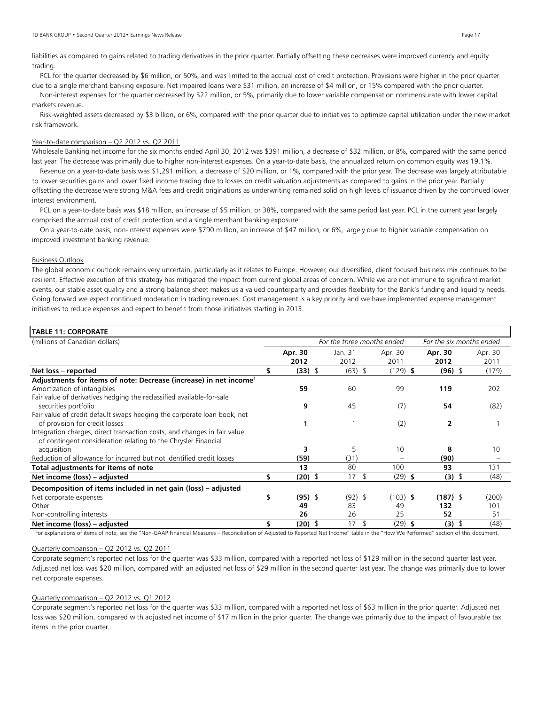liabilities as compared to gains related to trading derivatives in the prior quarter. Partially offsetting these decreases were improved currency and equity trading.

PCL for the quarter decreased by \$6 million, or 50%, and was limited to the accrual cost of credit protection. Provisions were higher in the prior quarter due to a single merchant banking exposure. Net impaired loans were \$31 million, an increase of \$4 million, or 15% compared with the prior quarter.

 Non-interest expenses for the quarter decreased by \$22 million, or 5%, primarily due to lower variable compensation commensurate with lower capital markets revenue.

 Risk-weighted assets decreased by \$3 billion, or 6%, compared with the prior quarter due to initiatives to optimize capital utilization under the new market risk framework.

# Year-to-date comparison – Q2 2012 vs. Q2 2011

Wholesale Banking net income for the six months ended April 30, 2012 was \$391 million, a decrease of \$32 million, or 8%, compared with the same period last year. The decrease was primarily due to higher non-interest expenses. On a year-to-date basis, the annualized return on common equity was 19.1%.

 Revenue on a year-to-date basis was \$1,291 million, a decrease of \$20 million, or 1%, compared with the prior year. The decrease was largely attributable to lower securities gains and lower fixed income trading due to losses on credit valuation adjustments as compared to gains in the prior year. Partially offsetting the decrease were strong M&A fees and credit originations as underwriting remained solid on high levels of issuance driven by the continued lower interest environment.

 PCL on a year-to-date basis was \$18 million, an increase of \$5 million, or 38%, compared with the same period last year. PCL in the current year largely comprised the accrual cost of credit protection and a single merchant banking exposure.

 On a year-to-date basis, non-interest expenses were \$790 million, an increase of \$47 million, or 6%, largely due to higher variable compensation on improved investment banking revenue.

#### Business Outlook

The global economic outlook remains very uncertain, particularly as it relates to Europe. However, our diversified, client focused business mix continues to be resilient. Effective execution of this strategy has mitigated the impact from current global areas of concern. While we are not immune to significant market events, our stable asset quality and a strong balance sheet makes us a valued counterparty and provides flexibility for the Bank's funding and liquidity needs. Going forward we expect continued moderation in trading revenues. Cost management is a key priority and we have implemented expense management initiatives to reduce expenses and expect to benefit from those initiatives starting in 2013.

 $\overline{\phantom{a}}$ 

 $\overline{\phantom{a}}$ 

 $\sim$ 

# **TABLE 11: CORPORATE**

| (millions of Canadian dollars)                                                                                                             |   |                 |                 | For the three months ended | For the six months ended |                 |
|--------------------------------------------------------------------------------------------------------------------------------------------|---|-----------------|-----------------|----------------------------|--------------------------|-----------------|
|                                                                                                                                            |   | Apr. 30<br>2012 | Jan. 31<br>2012 | Apr. 30<br>2011            | Apr. 30<br>2012          | Apr. 30<br>2011 |
| Net loss – reported                                                                                                                        |   | $(33)$ \$       | $(63)$ \$       | $(129)$ \$                 | $(96)$ \$                | (179)           |
| Adjustments for items of note: Decrease (increase) in net income <sup>1</sup>                                                              |   |                 |                 |                            |                          |                 |
| Amortization of intangibles                                                                                                                |   | 59              | 60              | 99                         | 119                      | 202             |
| Fair value of derivatives hedging the reclassified available-for-sale<br>securities portfolio                                              |   | 9               | 45              | (7)                        | 54                       | (82)            |
| Fair value of credit default swaps hedging the corporate loan book, net<br>of provision for credit losses                                  |   |                 |                 | (2)                        | 2                        |                 |
| Integration charges, direct transaction costs, and changes in fair value<br>of contingent consideration relating to the Chrysler Financial |   |                 |                 |                            |                          |                 |
| acquisition                                                                                                                                |   | 3               | 5               | 10                         | 8                        | 10              |
| Reduction of allowance for incurred but not identified credit losses                                                                       |   | (59)            | (31)            |                            | (90)                     |                 |
| Total adjustments for items of note                                                                                                        |   | 13              | 80              | 100                        | 93                       | 131             |
| Net income (loss) – adjusted                                                                                                               |   | $(20)$ \$       | 17              | $(29)$ \$<br>-S            | $(3)$ \$                 | (48)            |
| Decomposition of items included in net gain (loss) – adjusted                                                                              |   |                 |                 |                            |                          |                 |
| Net corporate expenses                                                                                                                     | S | $(95)$ \$       | $(92)$ \$       | $(103)$ \$                 | $(187)$ \$               | (200)           |
| Other                                                                                                                                      |   | 49              | 83              | 49                         | 132                      | 101             |
| Non-controlling interests                                                                                                                  |   | 26              | 26              | 25                         | 52                       | 51              |
| Net income (loss) – adjusted                                                                                                               |   | $(20)$ \$       | 17              | $(29)$ \$                  | $(3)$ \$                 | (48)            |

1 For explanations of items of note, see the "Non-GAAP Financial Measures – Reconciliation of Adjusted to Reported Net Income" table in the "How We Performed" section of this document.

# Quarterly comparison - Q2 2012 vs. Q2 2011

Corporate segment's reported net loss for the quarter was \$33 million, compared with a reported net loss of \$129 million in the second quarter last year. Adjusted net loss was \$20 million, compared with an adjusted net loss of \$29 million in the second quarter last year. The change was primarily due to lower net corporate expenses.

#### Quarterly comparison – Q2 2012 vs. Q1 2012

Corporate segment's reported net loss for the quarter was \$33 million, compared with a reported net loss of \$63 million in the prior quarter. Adjusted net loss was \$20 million, compared with adjusted net income of \$17 million in the prior quarter. The change was primarily due to the impact of favourable tax items in the prior quarter.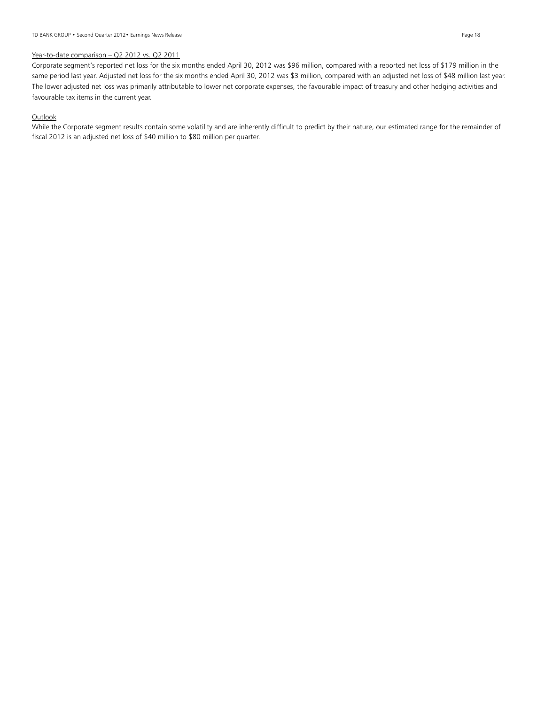Corporate segment's reported net loss for the six months ended April 30, 2012 was \$96 million, compared with a reported net loss of \$179 million in the same period last year. Adjusted net loss for the six months ended April 30, 2012 was \$3 million, compared with an adjusted net loss of \$48 million last year. The lower adjusted net loss was primarily attributable to lower net corporate expenses, the favourable impact of treasury and other hedging activities and favourable tax items in the current year.

# **Outlook**

While the Corporate segment results contain some volatility and are inherently difficult to predict by their nature, our estimated range for the remainder of fiscal 2012 is an adjusted net loss of \$40 million to \$80 million per quarter.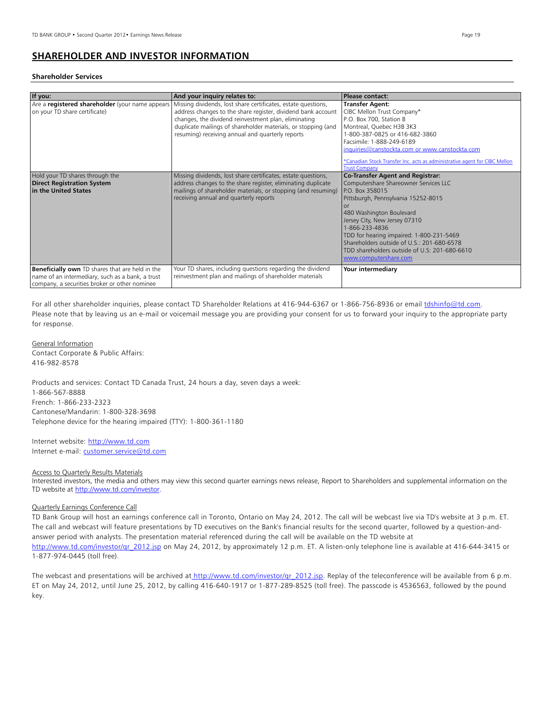# **SHAREHOLDER AND INVESTOR INFORMATION**

### **Shareholder Services**

| If you:                                                                                                                                              | And your inquiry relates to:                                                                                                                                                                                                                                                                                                                               | <b>Please contact:</b>                                                                                                                                                                                                                                                                                                                                                                              |
|------------------------------------------------------------------------------------------------------------------------------------------------------|------------------------------------------------------------------------------------------------------------------------------------------------------------------------------------------------------------------------------------------------------------------------------------------------------------------------------------------------------------|-----------------------------------------------------------------------------------------------------------------------------------------------------------------------------------------------------------------------------------------------------------------------------------------------------------------------------------------------------------------------------------------------------|
| on your TD share certificate)                                                                                                                        | Are a registered shareholder (your name appears Missing dividends, lost share certificates, estate questions,<br>address changes to the share register, dividend bank account<br>changes, the dividend reinvestment plan, eliminating<br>duplicate mailings of shareholder materials, or stopping (and<br>resuming) receiving annual and quarterly reports | <b>Transfer Agent:</b><br>CIBC Mellon Trust Company*<br>P.O. Box 700, Station B<br>Montreal, Quebec H3B 3K3<br>1-800-387-0825 or 416-682-3860<br>Facsimile: 1-888-249-6189<br>inquiries@canstockta.com or www.canstockta.com<br>*Canadian Stock Transfer Inc. acts as administrative agent for CIBC Mellon<br><b>Trust Company</b>                                                                  |
| Hold your TD shares through the<br><b>Direct Registration System</b><br>in the United States                                                         | Missing dividends, lost share certificates, estate questions,<br>address changes to the share register, eliminating duplicate<br>mailings of shareholder materials, or stopping (and resuming)<br>receiving annual and quarterly reports                                                                                                                   | <b>Co-Transfer Agent and Registrar:</b><br>Computershare Shareowner Services LLC<br>P.O. Box 358015<br>Pittsburgh, Pennsylvania 15252-8015<br>or<br>480 Washington Boulevard<br>Jersey City, New Jersey 07310<br>1-866-233-4836<br>TDD for hearing impaired: 1-800-231-5469<br>Shareholders outside of U.S.: 201-680-6578<br>TDD shareholders outside of U.S: 201-680-6610<br>www.computershare.com |
| Beneficially own TD shares that are held in the<br>name of an intermediary, such as a bank, a trust<br>company, a securities broker or other nominee | Your TD shares, including questions regarding the dividend<br>reinvestment plan and mailings of shareholder materials                                                                                                                                                                                                                                      | Your intermediary                                                                                                                                                                                                                                                                                                                                                                                   |

For all other shareholder inquiries, please contact TD Shareholder Relations at 416-944-6367 or 1-866-756-8936 or email tdshinfo@td.com. Please note that by leaving us an e-mail or voicemail message you are providing your consent for us to forward your inquiry to the appropriate party for response.

General Information Contact Corporate & Public Affairs: 416-982-8578

Products and services: Contact TD Canada Trust, 24 hours a day, seven days a week: 1-866-567-8888 French: 1-866-233-2323 Cantonese/Mandarin: 1-800-328-3698 Telephone device for the hearing impaired (TTY): 1-800-361-1180

Internet website: http://www.td.com Internet e-mail: customer.service@td.com

# Access to Quarterly Results Materials

Interested investors, the media and others may view this second quarter earnings news release, Report to Shareholders and supplemental information on the TD website at http://www.td.com/investor.

# Quarterly Earnings Conference Call

TD Bank Group will host an earnings conference call in Toronto, Ontario on May 24, 2012. The call will be webcast live via TD's website at 3 p.m. ET. The call and webcast will feature presentations by TD executives on the Bank's financial results for the second quarter, followed by a question-andanswer period with analysts. The presentation material referenced during the call will be available on the TD website at http://www.td.com/investor/qr\_2012.jsp on May 24, 2012, by approximately 12 p.m. ET. A listen-only telephone line is available at 416-644-3415 or 1-877-974-0445 (toll free).

The webcast and presentations will be archived at http://www.td.com/investor/gr\_2012.jsp. Replay of the teleconference will be available from 6 p.m. ET on May 24, 2012, until June 25, 2012, by calling 416-640-1917 or 1-877-289-8525 (toll free). The passcode is 4536563, followed by the pound key.